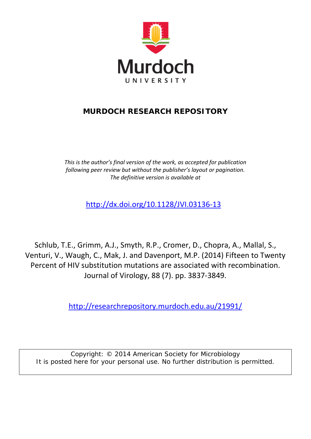

# **MURDOCH RESEARCH REPOSITORY**

*This is the author's final version of the work, as accepted for publication following peer review but without the publisher's layout or pagination. The definitive version is available at*

<http://dx.doi.org/10.1128/JVI.03136-13>

Schlub, T.E., Grimm, A.J., Smyth, R.P., Cromer, D., Chopra, A., Mallal, S., Venturi, V., Waugh, C., Mak, J. and Davenport, M.P. (2014) Fifteen to Twenty Percent of HIV substitution mutations are associated with recombination. Journal of Virology, 88 (7). pp. 3837-3849.

<http://researchrepository.murdoch.edu.au/21991/>

Copyright: © 2014 American Society for Microbiology It is posted here for your personal use. No further distribution is permitted.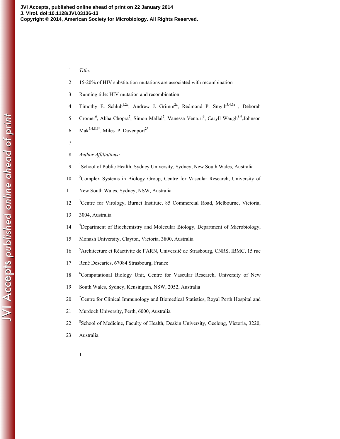## 1 *Title:*

- 2 15-20% of HIV substitution mutations are associated with recombination
- 3 Running title: HIV mutation and recombination
- 4 Timothy E. Schlub<sup>1,2a</sup>, Andrew J. Grimm<sup>2a</sup>, Redmond P. Smyth<sup>3,4,5a</sup>, Deborah
- 5 Cromer<sup>6</sup>, Abha Chopra<sup>7</sup>, Simon Mallal<sup>7</sup>, Vanessa Venturi<sup>6</sup>, Caryll Waugh<sup>8.9</sup>, Johnson
- 6 Mak<sup>3,4,8,9\*</sup>, Miles P. Davenport<sup>2\*</sup>
- 7
- 8 *Author Affiliations:*
- 9 <sup>1</sup> School of Public Health, Sydney University, Sydney, New South Wales, Australia
- <sup>2</sup> 2 <sup>2</sup> Complex Systems in Biology Group, Centre for Vascular Research, University of
- 11 New South Wales, Sydney, NSW, Australia
- <sup>3</sup> 12<sup>3</sup> Centre for Virology, Burnet Institute, 85 Commercial Road, Melbourne, Victoria,
- 13 3004, Australia
- <sup>4</sup> Department of Biochemistry and Molecular Biology, Department of Microbiology,
- 15 Monash University, Clayton, Victoria, 3800, Australia
- <sup>5</sup> 16 Architecture et Réactivité de l'ARN, Université de Strasbourg, CNRS, IBMC, 15 rue
- 17 René Descartes, 67084 Strasbourg, France
- <sup>6</sup> 18 Computational Biology Unit, Centre for Vascular Research, University of New
- 19 South Wales, Sydney, Kensington, NSW, 2052, Australia
- <sup>7</sup> 20 <sup>7</sup> Centre for Clinical Immunology and Biomedical Statistics, Royal Perth Hospital and
- 21 Murdoch University, Perth, 6000, Australia
- <sup>8</sup> School of Medicine, Faculty of Health, Deakin University, Geelong, Victoria, 3220,
- 23 Australia
	- 1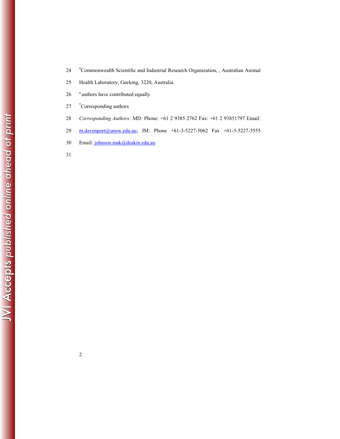- <sup>9</sup> Commonwealth Scientific and Industrial Research Organization, , Australian Animal
- 25 Health Laboratory, Geelong, 3220, Australia.
- 26 <sup>a</sup> authors have contributed equally
- 27 \*Corresponding authors
- 28 *Corresponding Authors:* MD: Phone: +61 2 9385 2762 Fax: +61 2 93851797 Email:
- 29 m.davenport@unsw.edu.au; JM: Phone +61-3-5227-5062 Fax +61-3-5227-5555
- 30 Email: johnson.mak@deakin.edu.au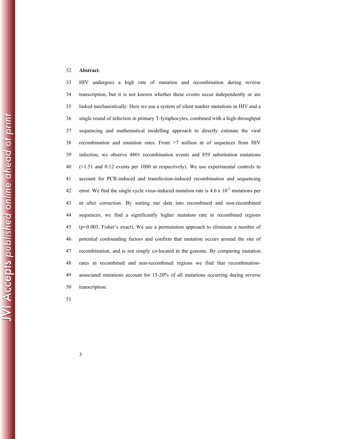#### 32 **Abstract**:

33 HIV undergoes a high rate of mutation and recombination during reverse 34 transcription, but it is not known whether these events occur independently or are 35 linked mechanistically. Here we use a system of silent marker mutations in HIV and a 36 single round of infection in primary T-lymphocytes, combined with a high-throughput 37 sequencing and mathematical modelling approach to directly estimate the viral 38 recombination and mutation rates. From >7 million nt of sequences from HIV 39 infection, we observe 4801 recombination events and 859 substitution mutations 40 ( $\approx$ 1.51 and 0.12 events per 1000 nt respectively). We use experimental controls to 41 account for PCR-induced and transfection-induced recombination and sequencing 42 error. We find the single cycle virus-induced mutation rate is  $4.6 \times 10^{-5}$  mutations per 43 nt after correction. By sorting our data into recombined and non-recombined 44 sequences, we find a significantly higher mutation rate in recombined regions 45 (p=0.003, Fisher's exact). We use a permutation approach to eliminate a number of 46 potential confounding factors and confirm that mutation occurs around the site of 47 recombination, and is not simply co-located in the genome. By comparing mutation 48 rates in recombined and non-recombined regions we find that recombination-49 associated mutations account for 15-20% of all mutations occurring during reverse 50 transcription.

51

JVI Accepts published online ahead of print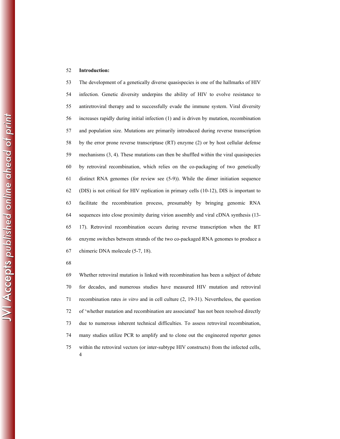#### 52 **Introduction:**

53 The development of a genetically diverse quasispecies is one of the hallmarks of HIV 54 infection. Genetic diversity underpins the ability of HIV to evolve resistance to 55 antiretroviral therapy and to successfully evade the immune system. Viral diversity 56 increases rapidly during initial infection (1) and is driven by mutation, recombination 57 and population size. Mutations are primarily introduced during reverse transcription 58 by the error prone reverse transcriptase (RT) enzyme (2) or by host cellular defense 59 mechanisms (3, 4). These mutations can then be shuffled within the viral quasispecies 60 by retroviral recombination, which relies on the co-packaging of two genetically 61 distinct RNA genomes (for review see (5-9)). While the dimer initiation sequence 62 (DIS) is not critical for HIV replication in primary cells (10-12), DIS is important to 63 facilitate the recombination process, presumably by bringing genomic RNA 64 sequences into close proximity during virion assembly and viral cDNA synthesis (13- 65 17). Retroviral recombination occurs during reverse transcription when the RT 66 enzyme switches between strands of the two co-packaged RNA genomes to produce a 67 chimeric DNA molecule (5-7, 18).

68

4 69 Whether retroviral mutation is linked with recombination has been a subject of debate 70 for decades, and numerous studies have measured HIV mutation and retroviral 71 recombination rates *in vitro* and in cell culture (2, 19-31). Nevertheless, the question 72 of 'whether mutation and recombination are associated' has not been resolved directly 73 due to numerous inherent technical difficulties. To assess retroviral recombination, 74 many studies utilize PCR to amplify and to clone out the engineered reporter genes 75 within the retroviral vectors (or inter-subtype HIV constructs) from the infected cells,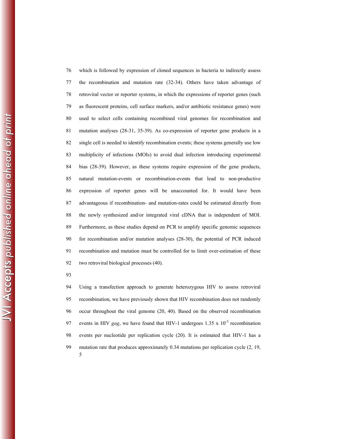76 which is followed by expression of cloned sequences in bacteria to indirectly assess 77 the recombination and mutation rate (32-34). Others have taken advantage of 78 retroviral vector or reporter systems, in which the expressions of reporter genes (such 79 as fluorescent proteins, cell surface markers, and/or antibiotic resistance genes) were 80 used to select cells containing recombined viral genomes for recombination and 81 mutation analyses (28-31, 35-39). As co-expression of reporter gene products in a 82 single cell is needed to identify recombination events; these systems generally use low 83 multiplicity of infections (MOIs) to avoid dual infection introducing experimental 84 bias (28-39). However, as these systems require expression of the gene products, 85 natural mutation-events or recombination-events that lead to non-productive 86 expression of reporter genes will be unaccounted for. It would have been 87 advantageous if recombination- and mutation-rates could be estimated directly from 88 the newly synthesized and/or integrated viral cDNA that is independent of MOI. 89 Furthermore, as these studies depend on PCR to amplify specific genomic sequences 90 for recombination and/or mutation analyses (28-30), the potential of PCR induced 91 recombination and mutation must be controlled for to limit over-estimation of these 92 two retroviral biological processes (40).

93

5 94 Using a transfection approach to generate heterozygous HIV to assess retroviral 95 recombination, we have previously shown that HIV recombination does not randomly 96 occur throughout the viral genome (20, 40). Based on the observed recombination 97 events in HIV *gag*, we have found that HIV-1 undergoes  $1.35 \times 10^{-3}$  recombination 98 events per nucleotide per replication cycle (20). It is estimated that HIV-1 has a 99 mutation rate that produces approximately 0.34 mutations per replication cycle (2, 19,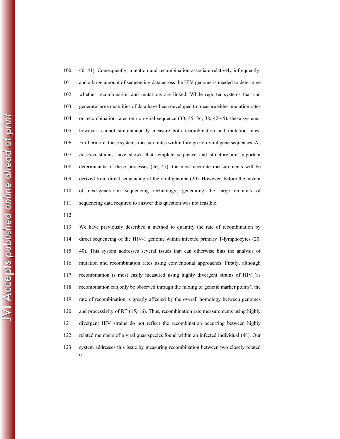100 40, 41). Consequently, mutation and recombination associate relatively infrequently; 101 and a large amount of sequencing data across the HIV genome is needed to determine 102 whether recombination and mutations are linked. While reporter systems that can 103 generate large quantities of data have been developed to measure either mutation rates 104 or recombination rates on non-viral sequence (30, 35, 36, 38, 42-45), these systems, 105 however, cannot simultaneously measure both recombination and mutation rates. 106 Furthermore, these systems measure rates within foreign non-viral gene sequences. As 107 *in vitro* studies have shown that template sequence and structure are important 108 determinants of these processes (46, 47), the most accurate measurements will be 109 derived from direct sequencing of the viral genome (20). However, before the advent 110 of next-generation sequencing technology, generating the large amounts of 111 sequencing data required to answer this question was not feasible.

112

6 113 We have previously described a method to quantify the rate of recombination by 114 direct sequencing of the HIV-1 genome within infected primary T-lymphocytes (20, 115 40). This system addresses several issues that can otherwise bias the analysis of 116 mutation and recombination rates using conventional approaches. Firstly, although 117 recombination is most easily measured using highly divergent strains of HIV (as 118 recombination can only be observed through the mixing of genetic marker points), the 119 rate of recombination is greatly affected by the overall homology between genomes 120 and processivity of RT (15, 16). Thus, recombination rate measurements using highly 121 divergent HIV strains do not reflect the recombination occurring between highly 122 related members of a viral quasispecies found within an infected individual (48). Our 123 system addresses this issue by measuring recombination between two closely related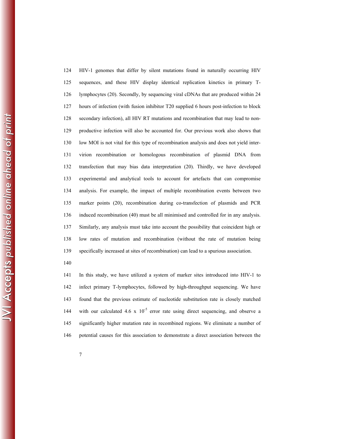124 HIV-1 genomes that differ by silent mutations found in naturally occurring HIV 125 sequences, and these HIV display identical replication kinetics in primary T-126 lymphocytes (20). Secondly, by sequencing viral cDNAs that are produced within 24 127 hours of infection (with fusion inhibitor T20 supplied 6 hours post-infection to block 128 secondary infection), all HIV RT mutations and recombination that may lead to non-129 productive infection will also be accounted for. Our previous work also shows that 130 low MOI is not vital for this type of recombination analysis and does not yield inter-131 virion recombination or homologous recombination of plasmid DNA from 132 transfection that may bias data interpretation (20). Thirdly, we have developed 133 experimental and analytical tools to account for artefacts that can compromise 134 analysis. For example, the impact of multiple recombination events between two 135 marker points (20), recombination during co-transfection of plasmids and PCR 136 induced recombination (40) must be all minimised and controlled for in any analysis. 137 Similarly, any analysis must take into account the possibility that coincident high or 138 low rates of mutation and recombination (without the rate of mutation being 139 specifically increased at sites of recombination) can lead to a spurious association.

140

141 In this study, we have utilized a system of marker sites introduced into HIV-1 to 142 infect primary T-lymphocytes, followed by high-throughput sequencing. We have 143 found that the previous estimate of nucleotide substitution rate is closely matched 144 with our calculated 4.6 x  $10^{-5}$  error rate using direct sequencing, and observe a 145 significantly higher mutation rate in recombined regions. We eliminate a number of 146 potential causes for this association to demonstrate a direct association between the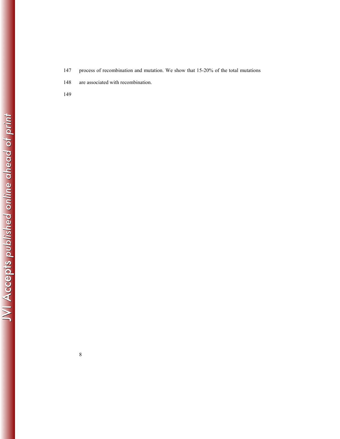- 147 process of recombination and mutation. We show that 15-20% of the total mutations
- 148 are associated with recombination.
- 149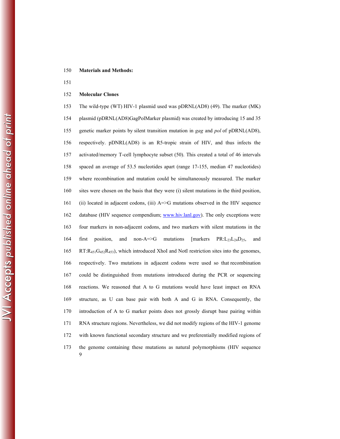## 150 **Materials and Methods:**

151

#### 152 **Molecular Clones**

9 153 The wild-type (WT) HIV-1 plasmid used was pDRNL(AD8) (49). The marker (MK) 154 plasmid (pDRNL(AD8)GagPolMarker plasmid) was created by introducing 15 and 35 155 genetic marker points by silent transition mutation in *gag* and *pol* of pDRNL(AD8), 156 respectively. pDNRL(AD8) is an R5-tropic strain of HIV, and thus infects the 157 activated/memory T-cell lymphocyte subset (50). This created a total of 46 intervals 158 spaced an average of 53.5 nucleotides apart (range 17-155, median 47 nucleotides) 159 where recombination and mutation could be simultaneously measured. The marker 160 sites were chosen on the basis that they were (i) silent mutations in the third position, 161 (ii) located in adjacent codons, (iii) A=>G mutations observed in the HIV sequence 162 database (HIV sequence compendium; www.hiv.lanl.gov). The only exceptions were 163 four markers in non-adjacent codons, and two markers with silent mutations in the 164 first position, and non-A= $>G$  mutations [markers  $PR: L_{23}L_{24}D_{25}$ , and 165 RT: $R_{451}G_{452}R_{453}$ , which introduced XhoI and NotI restriction sites into the genomes, 166 respectively. Two mutations in adjacent codons were used so that recombination 167 could be distinguished from mutations introduced during the PCR or sequencing 168 reactions. We reasoned that A to G mutations would have least impact on RNA 169 structure, as U can base pair with both A and G in RNA. Consequently, the 170 introduction of A to G marker points does not grossly disrupt base pairing within 171 RNA structure regions. Nevertheless, we did not modify regions of the HIV-1 genome 172 with known functional secondary structure and we preferentially modified regions of 173 the genome containing these mutations as natural polymorphisms (HIV sequence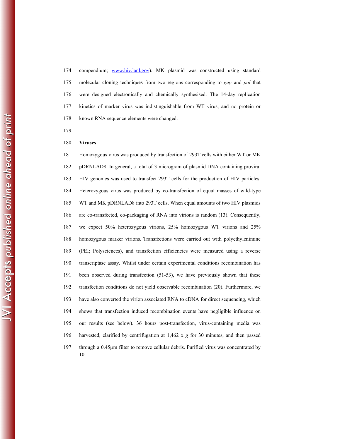174 compendium; www.hiv.lanl.gov). MK plasmid was constructed using standard 175 molecular cloning techniques from two regions corresponding to *gag* and *pol* that 176 were designed electronically and chemically synthesised. The 14-day replication 177 kinetics of marker virus was indistinguishable from WT virus, and no protein or 178 known RNA sequence elements were changed.

179

#### 180 **Viruses**

10 181 Homozygous virus was produced by transfection of 293T cells with either WT or MK 182 pDRNLAD8. In general, a total of 3 microgram of plasmid DNA containing proviral 183 HIV genomes was used to transfect 293T cells for the production of HIV particles. 184 Heterozygous virus was produced by co-transfection of equal masses of wild-type 185 WT and MK pDRNLAD8 into 293T cells. When equal amounts of two HIV plasmids 186 are co-transfected, co-packaging of RNA into virions is random (13). Consequently, 187 we expect 50% heterozygous virions, 25% homozygous WT virions and 25% 188 homozygous marker virions. Transfections were carried out with polyethylenimine 189 (PEI; Polysciences), and transfection efficiencies were measured using a reverse 190 transcriptase assay. Whilst under certain experimental conditions recombination has 191 been observed during transfection (51-53), we have previously shown that these 192 transfection conditions do not yield observable recombination (20). Furthermore, we 193 have also converted the virion associated RNA to cDNA for direct sequencing, which 194 shows that transfection induced recombination events have negligible influence on 195 our results (see below). 36 hours post-transfection, virus-containing media was 196 harvested, clarified by centrifugation at 1,462 x *g* for 30 minutes, and then passed 197 through a 0.45µm filter to remove cellular debris. Purified virus was concentrated by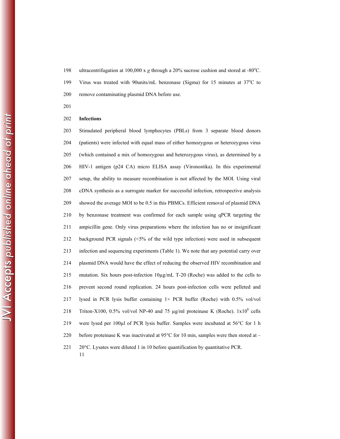198 ultracentrifugation at 100,000 x  $g$  through a 20% sucrose cushion and stored at -80°C. 199 Virus was treated with 90 units/mL benzonase (Sigma) for 15 minutes at  $37^{\circ}$ C to 200 remove contaminating plasmid DNA before use.

201

#### 202 **Infections**

11 203 Stimulated peripheral blood lymphocytes (PBLs) from 3 separate blood donors 204 (patients) were infected with equal mass of either homozygous or heterozygous virus 205 (which contained a mix of homozygous and heterozygous virus), as determined by a 206 HIV-1 antigen (p24 CA) micro ELISA assay (Vironostika). In this experimental 207 setup, the ability to measure recombination is not affected by the MOI. Using viral 208 cDNA synthesis as a surrogate marker for successful infection, retrospective analysis 209 showed the average MOI to be 0.5 in this PBMCs. Efficient removal of plasmid DNA 210 by benzonase treatment was confirmed for each sample using qPCR targeting the 211 ampicillin gene. Only virus preparations where the infection has no or insignificant 212 background PCR signals (<5% of the wild type infection) were used in subsequent 213 infection and sequencing experiments (Table 1). We note that any potential carry over 214 plasmid DNA would have the effect of reducing the observed HIV recombination and 215 mutation. Six hours post-infection  $10\mu\text{g/mL}$  T-20 (Roche) was added to the cells to 216 prevent second round replication. 24 hours post-infection cells were pelleted and 217 lysed in PCR lysis buffer containing  $1 \times$  PCR buffer (Roche) with 0.5% vol/vol 218 Triton-X100, 0.5% vol/vol NP-40 and 75  $\mu$ g/ml proteinase K (Roche). 1x10<sup>6</sup> cells 219 were lysed per 100µl of PCR lysis buffer. Samples were incubated at 56°C for 1 h 220 before proteinase K was inactivated at 95°C for 10 min, samples were then stored at – 221 20°C. Lysates were diluted 1 in 10 before quantification by quantitative PCR.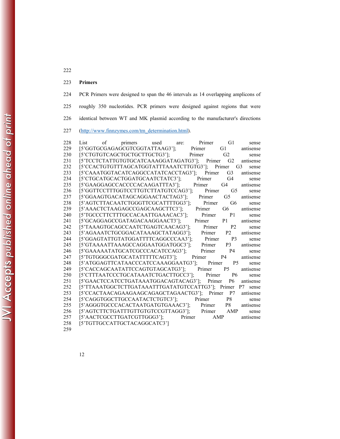223 **Primers**

224 PCR Primers were designed to span the 46 intervals as 14 overlapping amplicons of 225 roughly 350 nucleotides. PCR primers were designed against regions that were 226 identical between WT and MK plasmid according to the manufacturer's directions

227 (http://www.finnzymes.com/tm\_determination.html).

| 228                        |      |    |                                                   | primers used |      |        |        | G1             |                         |
|----------------------------|------|----|---------------------------------------------------|--------------|------|--------|--------|----------------|-------------------------|
|                            | List | οf |                                                   |              | are: |        | Primer |                | sense                   |
| 229                        |      |    | [5'GGTGCGAGAGCGTCGGTATTAAG3'];                    |              |      | Primer |        | G1             | antisense               |
| 230                        |      |    | [5'CTGTGTCAGCTGCTGCTTGCTG3'];                     |              |      | Primer |        | G <sub>2</sub> | sense                   |
| 231                        |      |    | [5'TCCTCTATTGTGTGCATCAAAGGATAGATG3']; Primer      |              |      |        |        | G <sub>2</sub> | antisense               |
| 232                        |      |    | [5'CCACTGTGTTTAGCATGGTATTTAAATCTTGTG3'];          |              |      |        | Primer |                | G <sub>3</sub><br>sense |
| 233                        |      |    | [5'CAAATGGTACATCAGGCCATATCACCTAG3'];              |              |      |        | Primer | G3             | antisense               |
| 234                        |      |    | [5'CTGCATGCACTGGATGCAATCTATC3'];                  |              |      | Primer |        | G4             | sense                   |
| 235                        |      |    | [5'GAAGGAGCCACCCCACAAGATTTA3'];                   |              |      | Primer |        | G4             | antisense               |
| 236                        |      |    | [5'GGTTCCTTTGGTCCTTGTCTTATGTCCAG3'];              |              |      |        | Primer | G <sub>5</sub> | sense                   |
| 237                        |      |    | [5'GGAAGTGACATAGCAGGAACTACTAG3'];                 |              |      |        | Primer | G <sub>5</sub> | antisense               |
| 238                        |      |    | [5'AGTCTTACAATCTGGGTTCGCATTTTGG3'];               |              |      |        | Primer | G <sub>6</sub> | sense                   |
| 239                        |      |    | [5'AAACTCTAAGAGCCGAGCAAGCTTC3'];                  |              |      | Primer |        | G6             | antisense               |
| 240                        |      |    | [5'TGCCCTTCTTTGCCACAATTGAAACAC3'];                |              |      |        | Primer | P <sub>1</sub> | sense                   |
| 241                        |      |    | [5'GCAGGAGCCGATAGACAAGGAACT3'];                   |              |      | Primer |        | P <sub>1</sub> | antisense               |
| 242                        |      |    | [5'TAAAGTGCAGCCAATCTGAGTCAACAG3'];                |              |      |        | Primer | P <sub>2</sub> | sense                   |
| 243                        |      |    | [5'AGAAATCTGCGGACATAAAGCTATAGG3'];                |              |      |        | Primer | P <sub>2</sub> | antisense               |
| 244                        |      |    | [5'GGAGTATTGTATGGATTTTCAGGCCCAA3'];               |              |      |        | Primer | P <sub>3</sub> | sense                   |
| 245                        |      |    | [5'GTAAAATTAAAGCCAGGAATGGATGGC3'];                |              |      |        | Primer | P <sub>3</sub> | antisense               |
| 246                        |      |    | [5'GAAAAATATGCATCGCCCACATCCAG3'];                 |              |      |        | Primer | P <sub>4</sub> | sense                   |
| 247                        |      |    | [5'TGTGGGCGATGCATATTTTTCAGT3'];                   |              |      | Primer |        | P <sub>4</sub> | antisense               |
| 248                        |      |    | [5'ATGGAGTTCATAACCCATCCAAAGGAATG3'];              |              |      |        | Primer | <b>P5</b>      | sense                   |
| 249                        |      |    | [5'CACCAGCAATATTCCAGTGTAGCATG3'];                 |              |      | Primer |        | <b>P5</b>      | antisense               |
| 250                        |      |    | [5'CTTTAATCCCTGCATAAATCTGACTTGCC3'];              |              |      |        | Primer | <b>P6</b>      | sense                   |
| 251                        |      |    | [5'GAACTCCATCCTGATAAATGGACAGTACAG3'];             |              |      |        | Primer | P6             | antisense               |
| 252                        |      |    | [5'TTAAATGGCTCTTGATAAATTTGATATGTCCATTG3']; Primer |              |      |        |        |                | P7<br>sense             |
| 253                        |      |    | [5'CCACTAACAGAAGAAGCAGAGCTAGAACTG3'];             |              |      |        | Primer | P7             | antisense               |
| 254                        |      |    | [5'CAGGTGGCTTGCCAATACTCTGTC3'];                   |              |      | Primer |        | P <sub>8</sub> | sense                   |
| 255                        |      |    | [5'AGGGTGCCCACACTAATGATGTGAAAC3'];                |              |      |        | Primer | P8             | antisense               |
| 256                        |      |    | [5'AGTCTTCTGATTTGTTGTGTCCGTTAGG3'];               |              |      |        | Primer | AMP            | sense                   |
| 257                        |      |    | [5'AACTCGCCTTGATCGTTGGG3'];                       |              |      | Primer | AMP    |                | antisense               |
| 258                        |      |    | [5'TGTTGCCATTGCTACAGGCATC3']                      |              |      |        |        |                |                         |
| $\cap$ <sub>c</sub> $\cap$ |      |    |                                                   |              |      |        |        |                |                         |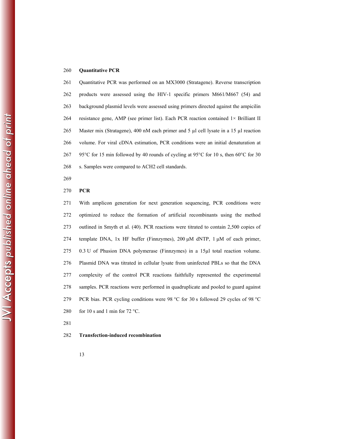## 260 **Quantitative PCR**

261 Quantitative PCR was performed on an MX3000 (Stratagene). Reverse transcription 262 products were assessed using the HIV-1 specific primers M661/M667 (54) and 263 background plasmid levels were assessed using primers directed against the ampicilin 264 resistance gene, AMP (see primer list). Each PCR reaction contained 1× Brilliant II 265 Master mix (Stratagene), 400 nM each primer and 5 µl cell lysate in a 15 µl reaction 266 volume. For viral cDNA estimation, PCR conditions were an initial denaturation at 267 95°C for 15 min followed by 40 rounds of cycling at 95°C for 10 s, then 60°C for 30 268 s. Samples were compared to ACH2 cell standards.

269

## 270 **PCR**

271 With amplicon generation for next generation sequencing, PCR conditions were 272 optimized to reduce the formation of artificial recombinants using the method 273 outlined in Smyth et al. (40). PCR reactions were titrated to contain 2,500 copies of 274 template DNA, 1x HF buffer (Finnzymes), 200 μM dNTP, 1 μM of each primer, 275 0.3 U of Phusion DNA polymerase (Finnzymes) in a 15µl total reaction volume. 276 Plasmid DNA was titrated in cellular lysate from uninfected PBLs so that the DNA 277 complexity of the control PCR reactions faithfully represented the experimental 278 samples. PCR reactions were performed in quadruplicate and pooled to guard against 279 PCR bias. PCR cycling conditions were 98 °C for 30 s followed 29 cycles of 98 °C 280 for 10 s and 1 min for 72 °C.

281

## 282 **Transfection-induced recombination**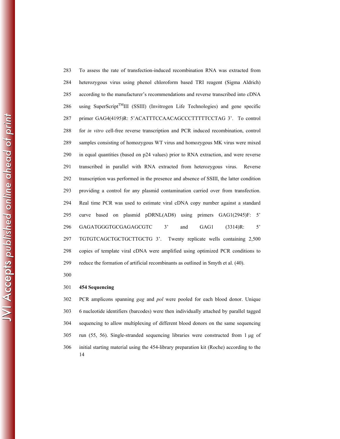283 To assess the rate of transfection-induced recombination RNA was extracted from 284 heterozygous virus using phenol chloroform based TRI reagent (Sigma Aldrich) 285 according to the manufacturer's recommendations and reverse transcribed into cDNA 286 using SuperScript<sup>TM</sup>III (SSIII) (Invitrogen Life Technologies) and gene specific 287 primer GAG4(4195)R: 5'ACATTTCCAACAGCCCTTTTTCCTAG 3'. To control 288 for *in vitro* cell-free reverse transcription and PCR induced recombination, control 289 samples consisting of homozygous WT virus and homozygous MK virus were mixed 290 in equal quantities (based on p24 values) prior to RNA extraction, and were reverse 291 transcribed in parallel with RNA extracted from heterozygous virus. Reverse 292 transcription was performed in the presence and absence of SSIII, the latter condition 293 providing a control for any plasmid contamination carried over from transfection. 294 Real time PCR was used to estimate viral cDNA copy number against a standard 295 curve based on plasmid pDRNL(AD8) using primers GAG1(2945)F: 5' 296 GAGATGGGTGCGAGAGCGTC 3' and GAG1 (3314)R: 5' 297 TGTGTCAGCTGCTGCTTGCTG 3'. Twenty replicate wells containing 2,500 298 copies of template viral cDNA were amplified using optimized PCR conditions to 299 reduce the formation of artificial recombinants as outlined in Smyth et al. (40).

300

## 301 **454 Sequencing**

14 302 PCR amplicons spanning *gag* and *pol* were pooled for each blood donor. Unique 303 6 nucleotide identifiers (barcodes) were then individually attached by parallel tagged 304 sequencing to allow multiplexing of different blood donors on the same sequencing 305 run (55, 56). Single-stranded sequencing libraries were constructed from 1 μg of 306 initial starting material using the 454-library preparation kit (Roche) according to the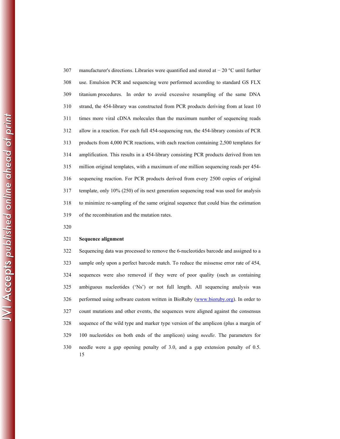307 manufacturer's directions. Libraries were quantified and stored at − 20 °C until further 308 use. Emulsion PCR and sequencing were performed according to standard GS FLX 309 titanium procedures. In order to avoid excessive resampling of the same DNA 310 strand, the 454-library was constructed from PCR products deriving from at least 10 311 times more viral cDNA molecules than the maximum number of sequencing reads 312 allow in a reaction. For each full 454-sequencing run, the 454-library consists of PCR 313 products from 4,000 PCR reactions, with each reaction containing 2,500 templates for 314 amplification. This results in a 454-library consisting PCR products derived from ten 315 million original templates, with a maximum of one million sequencing reads per 454- 316 sequencing reaction. For PCR products derived from every 2500 copies of original 317 template, only 10% (250) of its next generation sequencing read was used for analysis 318 to minimize re-sampling of the same original sequence that could bias the estimation 319 of the recombination and the mutation rates.

320

#### 321 **Sequence alignment**

15 322 Sequencing data was processed to remove the 6-nucleotides barcode and assigned to a 323 sample only upon a perfect barcode match. To reduce the missense error rate of 454, 324 sequences were also removed if they were of poor quality (such as containing 325 ambiguous nucleotides ('Ns') or not full length. All sequencing analysis was 326 performed using software custom written in BioRuby (www.bioruby.org). In order to 327 count mutations and other events, the sequences were aligned against the consensus 328 sequence of the wild type and marker type version of the amplicon (plus a margin of 329 100 nucleotides on both ends of the amplicon) using *needle*. The parameters for 330 needle were a gap opening penalty of 3.0, and a gap extension penalty of 0.5.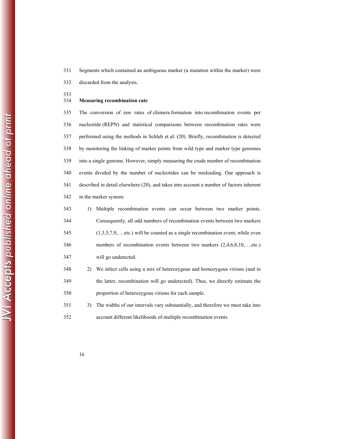331 Segments which contained an ambiguous marker (a mutation within the marker) were 332 discarded from the analysis.

333

## 334 **Measuring recombination rate**

335 The conversion of raw rates of chimera formation into recombination events per 336 nucleotide (REPN) and statistical comparisons between recombination rates were 337 performed using the methods in Schlub et al. (20). Briefly, recombination is detected 338 by monitoring the linking of marker points from wild type and marker type genomes 339 into a single genome. However, simply measuring the crude number of recombination 340 events divided by the number of nucleotides can be misleading. Our approach is 341 described in detail elsewhere (20), and takes into account a number of factors inherent 342 in the marker system:

| 343 | 1) Multiple recombination events can occur between two marker points.           |
|-----|---------------------------------------------------------------------------------|
| 344 | Consequently, all odd numbers of recombination events between two markers       |
| 345 | $(1,3,5,7,9,$ etc.) will be counted as a single recombination event, while even |
| 346 | numbers of recombination events between two markers (2,4,6,8,10,etc.)           |
| 347 | will go undetected.                                                             |

348 2) We infect cells using a mix of heterozygous and homozygous virions (and in 349 the latter, recombination will go undetected). Thus, we directly estimate the 350 proportion of heterozygous virions for each sample.

351 3) The widths of our intervals vary substantially, and therefore we must take into 352 account different likelihoods of multiple recombination events.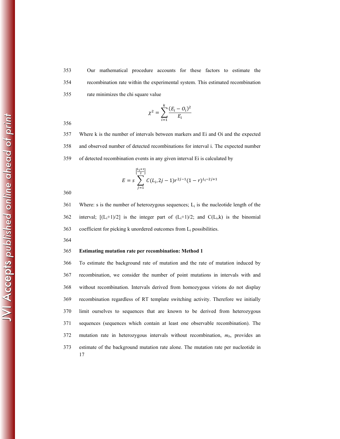353 Our mathematical procedure accounts for these factors to estimate the 354 recombination rate within the experimental system. This estimated recombination 355 rate minimizes the chi square value

$$
\chi^2 = \sum_{i=1}^k \frac{(E_i - O_i)^2}{E_i}
$$

356

357 Where k is the number of intervals between markers and Ei and Oi and the expected 358 and observed number of detected recombinations for interval i. The expected number 359 of detected recombination events in any given interval Ei is calculated by

$$
E = s \sum_{j=1}^{\left[\frac{L_i+1}{2}\right]} C(L_i, 2j-1) r^{2j-1} (1-r)^{L_i-2j+1}
$$

360

361 Where: s is the number of heterozygous sequences;  $L_i$  is the nucleotide length of the 362 interval;  $[(L_i+1)/2]$  is the integer part of  $(L_i+1)/2$ ; and  $C(L_i,k)$  is the binomial 363 coefficient for picking k unordered outcomes from  $L_i$  possibilities.

364

#### 365 **Estimating mutation rate per recombination: Method 1**

17 366 To estimate the background rate of mutation and the rate of mutation induced by 367 recombination, we consider the number of point mutations in intervals with and 368 without recombination. Intervals derived from homozygous virions do not display 369 recombination regardless of RT template switching activity. Therefore we initially 370 limit ourselves to sequences that are known to be derived from heterozygous 371 sequences (sequences which contain at least one observable recombination). The 372 mutation rate in heterozygous intervals without recombination, *mb*, provides an 373 estimate of the background mutation rate alone. The mutation rate per nucleotide in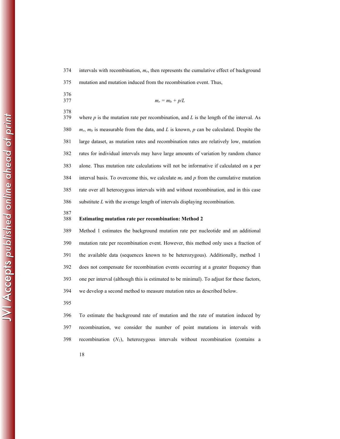$374$  intervals with recombination,  $m_r$ , then represents the cumulative effect of background 375 mutation and mutation induced from the recombination event. Thus,

- 376
- 378
- 377  $m_r = m_b + p/L$
- 379 where *p* is the mutation rate per recombination, and *L* is the length of the interval. As 380 *mr*, *mb* is measurable from the data, and *L* is known, *p* can be calculated. Despite the 381 large dataset, as mutation rates and recombination rates are relatively low, mutation 382 rates for individual intervals may have large amounts of variation by random chance 383 alone. Thus mutation rate calculations will not be informative if calculated on a per 384 interval basis. To overcome this, we calculate  $m_r$  and  $p$  from the cumulative mutation 385 rate over all heterozygous intervals with and without recombination, and in this case 386 substitute *L* with the average length of intervals displaying recombination.
	-

## 387<br>388 Estimating mutation rate per recombination: Method 2

389 Method 1 estimates the background mutation rate per nucleotide and an additional 390 mutation rate per recombination event. However, this method only uses a fraction of 391 the available data (sequences known to be heterozygous). Additionally, method 1 392 does not compensate for recombination events occurring at a greater frequency than 393 one per interval (although this is estimated to be minimal). To adjust for these factors, 394 we develop a second method to measure mutation rates as described below.

395

396 To estimate the background rate of mutation and the rate of mutation induced by 397 recombination, we consider the number of point mutations in intervals with 398 recombination  $(N<sub>l</sub>)$ , heterozygous intervals without recombination (contains a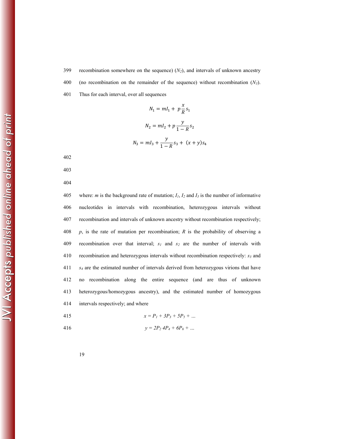400 (no recombination on the remainder of the sequence) without recombination (*N3*).

401 Thus for each interval, over all sequences

$$
N_1 = mI_1 + p\frac{x}{R}s_1
$$
  

$$
N_2 = mI_2 + p\frac{y}{1 - R}s_2
$$
  

$$
N_3 = mI_3 + \frac{y}{1 - R}s_3 + (x + y)s_4
$$

402

403

404

405 where: *m* is the background rate of mutation;  $I_1$ ,  $I_2$  and  $I_3$  is the number of informative 406 nucleotides in intervals with recombination, heterozygous intervals without 407 recombination and intervals of unknown ancestry without recombination respectively; 408 *p*, is the rate of mutation per recombination; *R* is the probability of observing a 409 recombination over that interval;  $s_1$  and  $s_2$  are the number of intervals with 410 recombination and heterozygous intervals without recombination respectively: *s3* and 411 *s4* are the estimated number of intervals derived from heterozygous virions that have 412 no recombination along the entire sequence (and are thus of unknown 413 heterozygous/homozygous ancestry), and the estimated number of homozygous 414 intervals respectively; and where

415 
$$
x = P_1 + 3P_3 + 5P_5 + \dots
$$

$$
y = 2P_2 4P_4 + 6P_6 + \dots
$$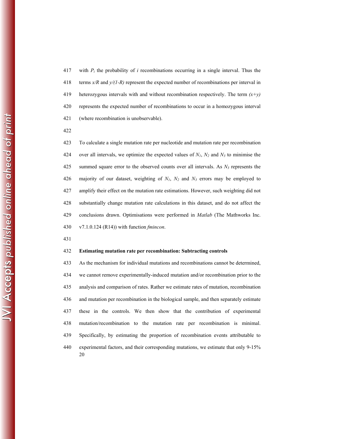417 with  $P_i$  the probability of *i* recombinations occurring in a single interval. Thus the 418 terms *x/R* and *y/(1-R)* represent the expected number of recombinations per interval in 419 heterozygous intervals with and without recombination respectively. The term *(x+y)* 420 represents the expected number of recombinations to occur in a homozygous interval 421 (where recombination is unobservable).

422

423 To calculate a single mutation rate per nucleotide and mutation rate per recombination 424 over all intervals, we optimize the expected values of *N1*, *N2* and *N3* to minimise the 425 summed square error to the observed counts over all intervals. As  $N_3$  represents the 426 majority of our dataset, weighting of *N1*, *N2* and *N3* errors may be employed to 427 amplify their effect on the mutation rate estimations. However, such weighting did not 428 substantially change mutation rate calculations in this dataset, and do not affect the 429 conclusions drawn. Optimisations were performed in *Matlab* (The Mathworks Inc. 430 v7.1.0.124 (R14)) with function *fmincon*.

431

## 432 **Estimating mutation rate per recombination: Subtracting controls**

20 433 As the mechanism for individual mutations and recombinations cannot be determined, 434 we cannot remove experimentally-induced mutation and/or recombination prior to the 435 analysis and comparison of rates. Rather we estimate rates of mutation, recombination 436 and mutation per recombination in the biological sample, and then separately estimate 437 these in the controls. We then show that the contribution of experimental 438 mutation/recombination to the mutation rate per recombination is minimal. 439 Specifically, by estimating the proportion of recombination events attributable to 440 experimental factors, and their corresponding mutations, we estimate that only 9-15%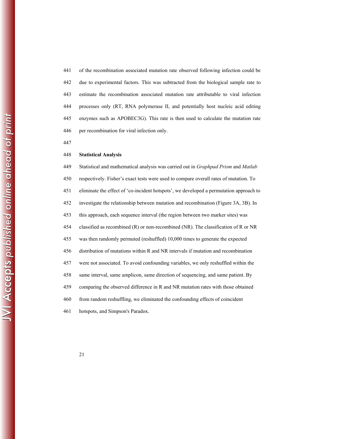441 of the recombination associated mutation rate observed following infection could be 442 due to experimental factors. This was subtracted from the biological sample rate to 443 estimate the recombination associated mutation rate attributable to viral infection 444 processes only (RT, RNA polymerase II, and potentially host nucleic acid editing 445 enzymes such as APOBEC3G). This rate is then used to calculate the mutation rate 446 per recombination for viral infection only.

447

#### 448 **Statistical Analysis**

449 Statistical and mathematical analysis was carried out in *Graphpad Prism* and *Matlab* 450 respectively. Fisher's exact tests were used to compare overall rates of mutation. To 451 eliminate the effect of 'co-incident hotspots', we developed a permutation approach to 452 investigate the relationship between mutation and recombination (Figure 3A, 3B). In 453 this approach, each sequence interval (the region between two marker sites) was 454 classified as recombined (R) or non-recombined (NR). The classification of R or NR 455 was then randomly permuted (reshuffled) 10,000 times to generate the expected 456 distribution of mutations within R and NR intervals if mutation and recombination 457 were not associated. To avoid confounding variables, we only reshuffled within the 458 same interval, same amplicon, same direction of sequencing, and same patient. By 459 comparing the observed difference in R and NR mutation rates with those obtained 460 from random reshuffling, we eliminated the confounding effects of coincident 461 hotspots, and Simpson's Paradox.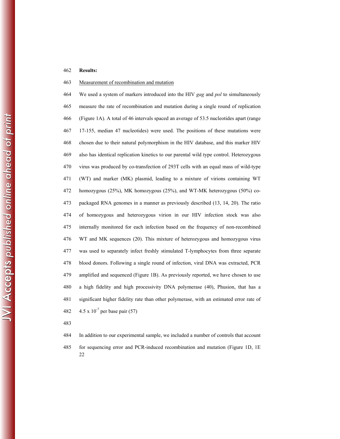## 462 **Results:**

## 463 Measurement of recombination and mutation

464 We used a system of markers introduced into the HIV *gag* and *pol* to simultaneously 465 measure the rate of recombination and mutation during a single round of replication 466 (Figure 1A). A total of 46 intervals spaced an average of 53.5 nucleotides apart (range 467 17-155, median 47 nucleotides) were used. The positions of these mutations were 468 chosen due to their natural polymorphism in the HIV database, and this marker HIV 469 also has identical replication kinetics to our parental wild type control. Heterozygous 470 virus was produced by co-transfection of 293T cells with an equal mass of wild-type 471 (WT) and marker (MK) plasmid, leading to a mixture of virions containing WT 472 homozygous (25%), MK homozygous (25%), and WT-MK heterozygous (50%) co-473 packaged RNA genomes in a manner as previously described (13, 14, 20). The ratio 474 of homozygous and heterozygous virion in our HIV infection stock was also 475 internally monitored for each infection based on the frequency of non-recombined 476 WT and MK sequences (20). This mixture of heterozygous and homozygous virus 477 was used to separately infect freshly stimulated T-lymphocytes from three separate 478 blood donors. Following a single round of infection, viral DNA was extracted, PCR 479 amplified and sequenced (Figure 1B). As previously reported, we have chosen to use 480 a high fidelity and high processivity DNA polymerase (40), Phusion, that has a 481 significant higher fidelity rate than other polymerase, with an estimated error rate of 482  $4.5 \times 10^{-7}$  per base pair (57)

483

22 484 In addition to our experimental sample, we included a number of controls that account 485 for sequencing error and PCR-induced recombination and mutation (Figure 1D, 1E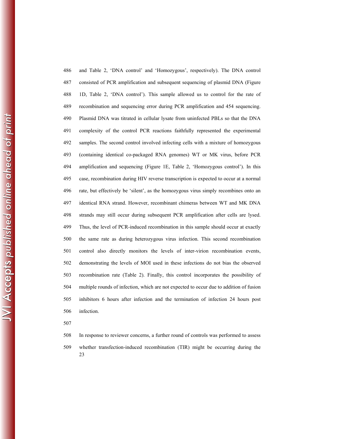486 and Table 2, 'DNA control' and 'Homozygous', respectively). The DNA control 487 consisted of PCR amplification and subsequent sequencing of plasmid DNA (Figure 488 1D, Table 2, 'DNA control'). This sample allowed us to control for the rate of 489 recombination and sequencing error during PCR amplification and 454 sequencing. 490 Plasmid DNA was titrated in cellular lysate from uninfected PBLs so that the DNA 491 complexity of the control PCR reactions faithfully represented the experimental 492 samples. The second control involved infecting cells with a mixture of homozygous 493 (containing identical co-packaged RNA genomes) WT or MK virus, before PCR 494 amplification and sequencing (Figure 1E, Table 2, 'Homozygous control'). In this 495 case, recombination during HIV reverse transcription is expected to occur at a normal 496 rate, but effectively be 'silent', as the homozygous virus simply recombines onto an 497 identical RNA strand. However, recombinant chimeras between WT and MK DNA 498 strands may still occur during subsequent PCR amplification after cells are lysed. 499 Thus, the level of PCR-induced recombination in this sample should occur at exactly 500 the same rate as during heterozygous virus infection. This second recombination 501 control also directly monitors the levels of inter-virion recombination events, 502 demonstrating the levels of MOI used in these infections do not bias the observed 503 recombination rate (Table 2). Finally, this control incorporates the possibility of 504 multiple rounds of infection, which are not expected to occur due to addition of fusion 505 inhibitors 6 hours after infection and the termination of infection 24 hours post 506 infection.

507

23 508 In response to reviewer concerns, a further round of controls was performed to assess 509 whether transfection-induced recombination (TIR) might be occurring during the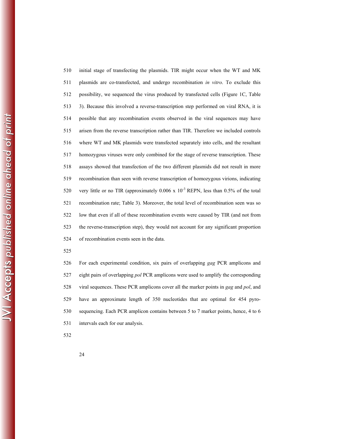510 initial stage of transfecting the plasmids. TIR might occur when the WT and MK 511 plasmids are co-transfected, and undergo recombination *in vitro*. To exclude this 512 possibility, we sequenced the virus produced by transfected cells (Figure 1C, Table 513 3). Because this involved a reverse-transcription step performed on viral RNA, it is 514 possible that any recombination events observed in the viral sequences may have 515 arisen from the reverse transcription rather than TIR. Therefore we included controls 516 where WT and MK plasmids were transfected separately into cells, and the resultant 517 homozygous viruses were only combined for the stage of reverse transcription. These 518 assays showed that transfection of the two different plasmids did not result in more 519 recombination than seen with reverse transcription of homozygous virions, indicating 520 very little or no TIR (approximately  $0.006 \times 10^{-3}$  REPN, less than 0.5% of the total 521 recombination rate; Table 3). Moreover, the total level of recombination seen was so 522 low that even if all of these recombination events were caused by TIR (and not from 523 the reverse-transcription step), they would not account for any significant proportion 524 of recombination events seen in the data.

525

526 For each experimental condition, six pairs of overlapping *gag* PCR amplicons and 527 eight pairs of overlapping *pol* PCR amplicons were used to amplify the corresponding 528 viral sequences. These PCR amplicons cover all the marker points in *gag* and *pol*, and 529 have an approximate length of 350 nucleotides that are optimal for 454 pyro-530 sequencing. Each PCR amplicon contains between 5 to 7 marker points, hence, 4 to 6 531 intervals each for our analysis.

532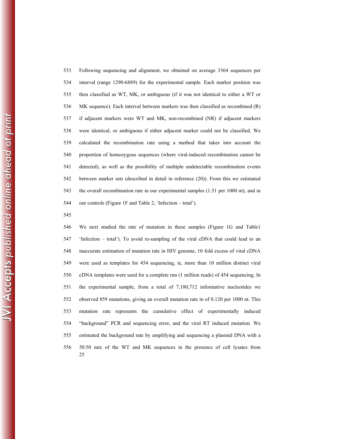533 Following sequencing and alignment, we obtained on average 3364 sequences per 534 interval (range 1290-6889) for the experimental sample. Each marker position was 535 then classified as WT, MK, or ambiguous (if it was not identical to either a WT or 536 MK sequence). Each interval between markers was then classified as recombined (R) 537 if adjacent markers were WT and MK, non-recombined (NR) if adjacent markers 538 were identical, or ambiguous if either adjacent marker could not be classified. We 539 calculated the recombination rate using a method that takes into account the 540 proportion of homozygous sequences (where viral-induced recombination cannot be 541 detected), as well as the possibility of multiple undetectable recombination events 542 between marker sets (described in detail in reference (20)). From this we estimated 543 the overall recombination rate in our experimental samples (1.51 per 1000 nt), and in 544 our controls (Figure 1F and Table 2, 'Infection – total').

545

25 546 We next studied the rate of mutation in these samples (Figure 1G and Table1 547 'Infection – total'). To avoid re-sampling of the viral cDNA that could lead to an 548 inaccurate estimation of mutation rate in HIV genome, 10 fold excess of viral cDNA 549 were used as templates for 454 sequencing, ie, more than 10 million distinct viral 550 cDNA templates were used for a complete run (1 million reads) of 454 sequencing. In 551 the experimental sample, from a total of 7,180,712 informative nucleotides we 552 observed 859 mutations, giving an overall mutation rate in of 0.120 per 1000 nt. This 553 mutation rate represents the cumulative effect of experimentally induced 554 "background" PCR and sequencing error, and the viral RT induced mutation. We 555 estimated the background rate by amplifying and sequencing a plasmid DNA with a 556 50:50 mix of the WT and MK sequences in the presence of cell lysates from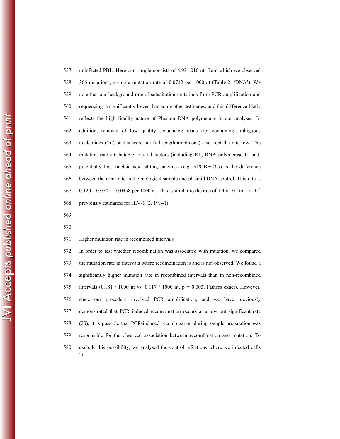557 uninfected PBL. Here our sample consists of 4,931,016 nt, from which we observed 558 366 mutations, giving a mutation rate of 0.0742 per 1000 nt (Table 2, 'DNA'). We 559 note that our background rate of substitution mutations from PCR amplification and 560 sequencing is significantly lower than some other estimates, and this difference likely 561 reflects the high fidelity nature of Phusion DNA polymerase in our analyses. In 562 addition, removal of low quality sequencing reads (ie: containing ambiguous 563 nucleotides ('n') or that were not full length amplicons) also kept the rate low. The 564 mutation rate attributable to viral factors (including RT, RNA polymerase II, and, 565 potentially host nucleic acid-editing enzymes (e.g. APOBEC3G) is the difference 566 between the error rate in the biological sample and plasmid DNA control. This rate is 567 0.120 – 0.0742 = 0.0458 per 1000 nt. This is similar to the rate of 1.4 x 10<sup>-5</sup> to 4 x 10<sup>-5</sup> 568 previously estimated for HIV-1 (2, 19, 41).

569

570

#### 571 Higher mutation rate in recombined intervals

26 572 In order to test whether recombination was associated with mutation, we compared 573 the mutation rate in intervals where recombination is and is not observed. We found a 574 significantly higher mutation rate in recombined intervals than in non-recombined 575 intervals  $(0.181 / 1000$  nt vs.  $0.117 / 1000$  nt,  $p = 0.003$ , Fishers exact). However, 576 since our procedure involved PCR amplification, and we have previously 577 demonstrated that PCR induced recombination occurs at a low but significant rate 578 (20), it is possible that PCR-induced recombination during sample preparation was 579 responsible for the observed association between recombination and mutation. To 580 exclude this possibility, we analysed the control infections where we infected cells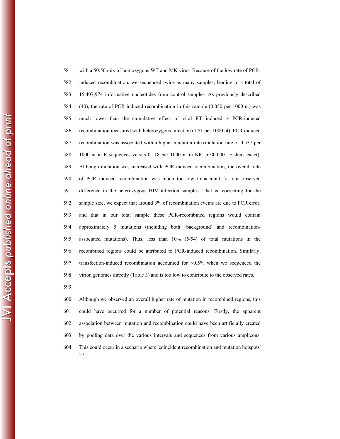581 with a 50:50 mix of homozygous WT and MK virus. Because of the low rate of PCR-582 induced recombination, we sequenced twice as many samples, leading to a total of 583 15,407,974 informative nucleotides from control samples. As previously described 584 (40), the rate of PCR induced recombination in this sample (0.050 per 1000 nt) was 585 much lower than the cumulative effect of viral RT induced + PCR-induced 586 recombination measured with heterozygous infection (1.51 per 1000 nt). PCR induced 587 recombination was associated with a higher mutation rate (mutation rate of 0.537 per 588 1000 nt in R sequences versus 0.118 per 1000 nt in NR, p <0.0001 Fishers exact). 589 Although mutation was increased with PCR-induced recombination, the overall rate 590 of PCR induced recombination was much too low to account for our observed 591 difference in the heterozygous HIV infection samples. That is, correcting for the 592 sample size, we expect that around 3% of recombination events are due to PCR error, 593 and that in our total sample these PCR-recombined regions would contain 594 approximately 5 mutations (including both 'background' and recombination-595 associated mutations). Thus, less than 10% (5/54) of total mutations in the 596 recombined regions could be attributed to PCR-induced recombination. Similarly, 597 transfection-induced recombination accounted for <0.5% when we sequenced the 598 virion genomes directly (Table 3) and is too low to contribute to the observed rates. 599

27 600 Although we observed an overall higher rate of mutation in recombined regions, this 601 could have occurred for a number of potential reasons. Firstly, the apparent 602 association between mutation and recombination could have been artificially created 603 by pooling data over the various intervals and sequences from various amplicons. 604 This could occur in a scenario where 'coincident recombination and mutation hotspots'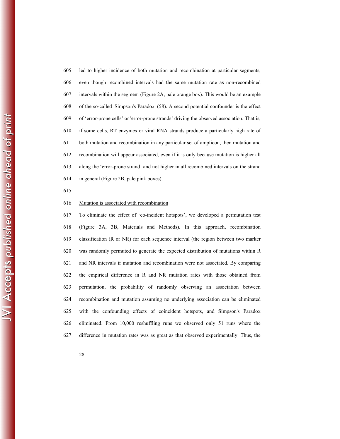605 led to higher incidence of both mutation and recombination at particular segments, 606 even though recombined intervals had the same mutation rate as non-recombined 607 intervals within the segment (Figure 2A, pale orange box). This would be an example 608 of the so-called 'Simpson's Paradox' (58). A second potential confounder is the effect 609 of 'error-prone cells' or 'error-prone strands' driving the observed association. That is, 610 if some cells, RT enzymes or viral RNA strands produce a particularly high rate of 611 both mutation and recombination in any particular set of amplicon, then mutation and 612 recombination will appear associated, even if it is only because mutation is higher all 613 along the 'error-prone strand' and not higher in all recombined intervals on the strand 614 in general (Figure 2B, pale pink boxes).

615

## 616 Mutation is associated with recombination

617 To eliminate the effect of 'co-incident hotspots', we developed a permutation test 618 (Figure 3A, 3B, Materials and Methods). In this approach, recombination 619 classification (R or NR) for each sequence interval (the region between two marker 620 was randomly permuted to generate the expected distribution of mutations within R 621 and NR intervals if mutation and recombination were not associated. By comparing 622 the empirical difference in R and NR mutation rates with those obtained from 623 permutation, the probability of randomly observing an association between 624 recombination and mutation assuming no underlying association can be eliminated 625 with the confounding effects of coincident hotspots, and Simpson's Paradox 626 eliminated. From 10,000 reshuffling runs we observed only 51 runs where the 627 difference in mutation rates was as great as that observed experimentally. Thus, the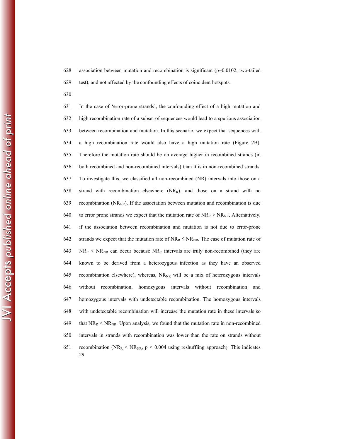628 association between mutation and recombination is significant (p=0.0102, two-tailed 629 test), and not affected by the confounding effects of coincident hotspots.

630

29 631 In the case of 'error-prone strands', the confounding effect of a high mutation and 632 high recombination rate of a subset of sequences would lead to a spurious association 633 between recombination and mutation. In this scenario, we expect that sequences with 634 a high recombination rate would also have a high mutation rate (Figure 2B). 635 Therefore the mutation rate should be on average higher in recombined strands (in 636 both recombined and non-recombined intervals) than it is in non-recombined strands. 637 To investigate this, we classified all non-recombined (NR) intervals into those on a 638 strand with recombination elsewhere (NRR), and those on a strand with no 639 recombination ( $NR_{NR}$ ). If the association between mutation and recombination is due 640 to error prone strands we expect that the mutation rate of  $NR_R > NR_{NR}$ . Alternatively, 641 if the association between recombination and mutation is not due to error-prone 642 strands we expect that the mutation rate of  $NR_R \leq NR_{NR}$ . The case of mutation rate of 643 NR<sub>R</sub> < NR<sub>NR</sub> can occur because NR<sub>R</sub> intervals are truly non-recombined (they are 644 known to be derived from a heterozygous infection as they have an observed 645 recombination elsewhere), whereas,  $NR_{NR}$  will be a mix of heterozygous intervals 646 without recombination, homozygous intervals without recombination and 647 homozygous intervals with undetectable recombination. The homozygous intervals 648 with undetectable recombination will increase the mutation rate in these intervals so 649 that  $NR_R < NR_{NR}$ . Upon analysis, we found that the mutation rate in non-recombined 650 intervals in strands with recombination was lower than the rate on strands without 651 recombination (NR<sub>R</sub> < NR<sub>NR</sub>,  $p$  < 0.004 using reshuffling approach). This indicates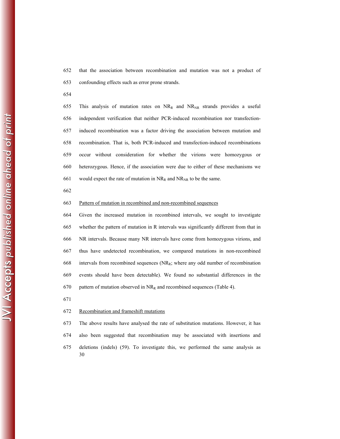652 that the association between recombination and mutation was not a product of 653 confounding effects such as error prone strands.

654

655 This analysis of mutation rates on  $NR<sub>R</sub>$  and  $NR<sub>NR</sub>$  strands provides a useful 656 independent verification that neither PCR-induced recombination nor transfection-657 induced recombination was a factor driving the association between mutation and 658 recombination. That is, both PCR-induced and transfection-induced recombinations 659 occur without consideration for whether the virions were homozygous or 660 heterozygous. Hence, if the association were due to either of these mechanisms we 661 would expect the rate of mutation in  $NR<sub>R</sub>$  and  $NR<sub>NR</sub>$  to be the same.

662

#### 663 Pattern of mutation in recombined and non-recombined sequences

664 Given the increased mutation in recombined intervals, we sought to investigate 665 whether the pattern of mutation in R intervals was significantly different from that in 666 NR intervals. Because many NR intervals have come from homozygous virions, and 667 thus have undetected recombination, we compared mutations in non-recombined 668 intervals from recombined sequences  $(NR_R)$ ; where any odd number of recombination 669 events should have been detectable). We found no substantial differences in the 670 pattern of mutation observed in  $NR_R$  and recombined sequences (Table 4).

671

#### 672 Recombination and frameshift mutations

30 673 The above results have analysed the rate of substitution mutations. However, it has 674 also been suggested that recombination may be associated with insertions and 675 deletions (indels) (59). To investigate this, we performed the same analysis as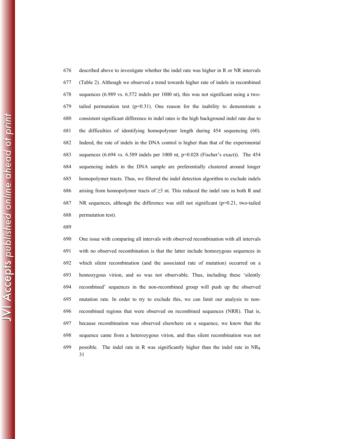676 described above to investigate whether the indel rate was higher in R or NR intervals 677 (Table 2). Although we observed a trend towards higher rate of indels in recombined 678 sequences (6.989 vs. 6.572 indels per 1000 nt), this was not significant using a two-679 tailed permutation test  $(p=0.31)$ . One reason for the inability to demonstrate a 680 consistent significant difference in indel rates is the high background indel rate due to 681 the difficulties of identifying homopolymer length during 454 sequencing (60). 682 Indeed, the rate of indels in the DNA control is higher than that of the experimental 683 sequences (6.694 vs. 6.589 indels per 1000 nt, p=0.028 (Fischer's exact)). The 454 684 sequencing indels in the DNA sample are preferentially clustered around longer 685 homopolymer tracts. Thus, we filtered the indel detection algorithm to exclude indels 686 arising from homopolymer tracts of  $\geq$ 3 nt. This reduced the indel rate in both R and 687 NR sequences, although the difference was still not significant ( $p=0.21$ , two-tailed 688 permutation test).

689

31 690 One issue with comparing all intervals with observed recombination with all intervals 691 with no observed recombination is that the latter include homozygous sequences in 692 which silent recombination (and the associated rate of mutation) occurred on a 693 homozygous virion, and so was not observable. Thus, including these 'silently 694 recombined' sequences in the non-recombined group will push up the observed 695 mutation rate. In order to try to exclude this, we can limit our analysis to non-696 recombined regions that were observed on recombined sequences (NRR). That is, 697 because recombination was observed elsewhere on a sequence, we know that the 698 sequence came from a heterozygous virion, and thus silent recombination was not 699 possible. The indel rate in R was significantly higher than the indel rate in  $NR<sub>R</sub>$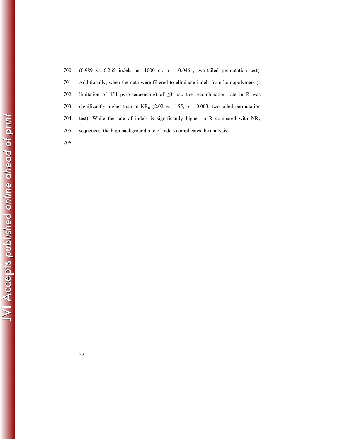| 700 | $(6.989 \text{ vs } 6.265 \text{ indels per } 1000 \text{ nt}, p = 0.0464, \text{ two-tailed permutation test}).$ |
|-----|-------------------------------------------------------------------------------------------------------------------|
| 701 | Additionally, when the data were filtered to eliminate indels from homopolymers (a                                |
| 702 | limitation of 454 pyro-sequencing) of $\geq$ 3 n.t., the recombination rate in R was                              |
| 703 | significantly higher than in NR <sub>R</sub> (2.02 vs. 1.55, $p = 0.003$ , two-tailed permutation                 |
| 704 | test). While the rate of indels is significantly higher in R compared with $NRR$                                  |
| 705 | sequences, the high background rate of indels complicates the analysis.                                           |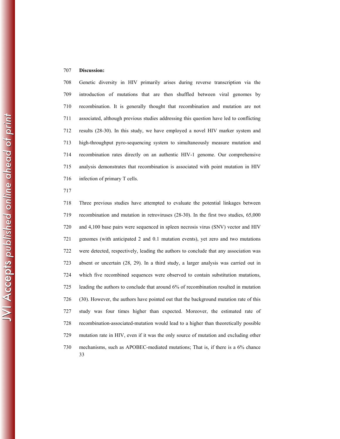## 707 **Discussion:**

708 Genetic diversity in HIV primarily arises during reverse transcription via the 709 introduction of mutations that are then shuffled between viral genomes by 710 recombination. It is generally thought that recombination and mutation are not 711 associated, although previous studies addressing this question have led to conflicting 712 results (28-30). In this study, we have employed a novel HIV marker system and 713 high-throughput pyro-sequencing system to simultaneously measure mutation and 714 recombination rates directly on an authentic HIV-1 genome. Our comprehensive 715 analysis demonstrates that recombination is associated with point mutation in HIV 716 infection of primary T cells.

717

33 718 Three previous studies have attempted to evaluate the potential linkages between 719 recombination and mutation in retroviruses (28-30). In the first two studies, 65,000 720 and 4,100 base pairs were sequenced in spleen necrosis virus (SNV) vector and HIV 721 genomes (with anticipated 2 and 0.1 mutation events), yet zero and two mutations 722 were detected, respectively, leading the authors to conclude that any association was 723 absent or uncertain (28, 29). In a third study, a larger analysis was carried out in 724 which five recombined sequences were observed to contain substitution mutations, 725 leading the authors to conclude that around 6% of recombination resulted in mutation 726 (30). However, the authors have pointed out that the background mutation rate of this 727 study was four times higher than expected. Moreover, the estimated rate of 728 recombination-associated-mutation would lead to a higher than theoretically possible 729 mutation rate in HIV, even if it was the only source of mutation and excluding other 730 mechanisms, such as APOBEC-mediated mutations; That is, if there is a 6% chance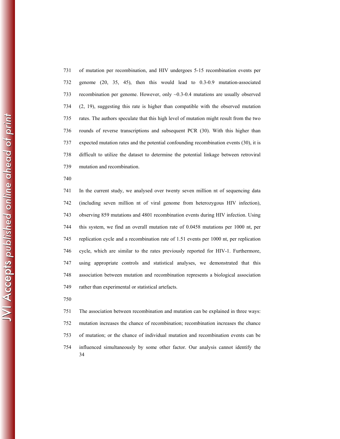731 of mutation per recombination, and HIV undergoes 5-15 recombination events per 732 genome (20, 35, 45), then this would lead to 0.3-0.9 mutation-associated 733 recombination per genome. However, only ~0.3-0.4 mutations are usually observed 734 (2, 19), suggesting this rate is higher than compatible with the observed mutation 735 rates. The authors speculate that this high level of mutation might result from the two 736 rounds of reverse transcriptions and subsequent PCR (30). With this higher than 737 expected mutation rates and the potential confounding recombination events (30), it is 738 difficult to utilize the dataset to determine the potential linkage between retroviral 739 mutation and recombination.

740

741 In the current study, we analysed over twenty seven million nt of sequencing data 742 (including seven million nt of viral genome from heterozygous HIV infection), 743 observing 859 mutations and 4801 recombination events during HIV infection. Using 744 this system, we find an overall mutation rate of 0.0458 mutations per 1000 nt, per 745 replication cycle and a recombination rate of 1.51 events per 1000 nt, per replication 746 cycle, which are similar to the rates previously reported for HIV-1. Furthermore, 747 using appropriate controls and statistical analyses, we demonstrated that this 748 association between mutation and recombination represents a biological association 749 rather than experimental or statistical artefacts.

750

34 751 The association between recombination and mutation can be explained in three ways: 752 mutation increases the chance of recombination; recombination increases the chance 753 of mutation; or the chance of individual mutation and recombination events can be 754 influenced simultaneously by some other factor. Our analysis cannot identify the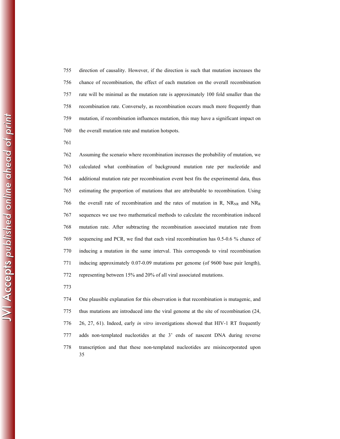755 direction of causality. However, if the direction is such that mutation increases the 756 chance of recombination, the effect of each mutation on the overall recombination 757 rate will be minimal as the mutation rate is approximately 100 fold smaller than the 758 recombination rate. Conversely, as recombination occurs much more frequently than 759 mutation, if recombination influences mutation, this may have a significant impact on 760 the overall mutation rate and mutation hotspots.

761

762 Assuming the scenario where recombination increases the probability of mutation, we 763 calculated what combination of background mutation rate per nucleotide and 764 additional mutation rate per recombination event best fits the experimental data, thus 765 estimating the proportion of mutations that are attributable to recombination. Using 766 the overall rate of recombination and the rates of mutation in R,  $NR_{NR}$  and  $NR_{R}$ 767 sequences we use two mathematical methods to calculate the recombination induced 768 mutation rate. After subtracting the recombination associated mutation rate from 769 sequencing and PCR, we find that each viral recombination has 0.5-0.6 % chance of 770 inducing a mutation in the same interval. This corresponds to viral recombination 771 inducing approximately 0.07-0.09 mutations per genome (of 9600 base pair length), 772 representing between 15% and 20% of all viral associated mutations.

773

35 774 One plausible explanation for this observation is that recombination is mutagenic, and 775 thus mutations are introduced into the viral genome at the site of recombination (24, 776 26, 27, 61). Indeed, early *in vitro* investigations showed that HIV-1 RT frequently 777 adds non-templated nucleotides at the 3' ends of nascent DNA during reverse 778 transcription and that these non-templated nucleotides are misincorporated upon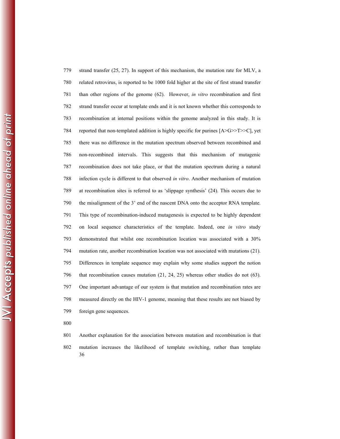779 strand transfer (25, 27). In support of this mechanism, the mutation rate for MLV, a 780 related retrovirus, is reported to be 1000 fold higher at the site of first strand transfer 781 than other regions of the genome (62). However, *in vitro* recombination and first 782 strand transfer occur at template ends and it is not known whether this corresponds to 783 recombination at internal positions within the genome analyzed in this study. It is 784 reported that non-templated addition is highly specific for purines [A>G>>T>>C], yet 785 there was no difference in the mutation spectrum observed between recombined and 786 non-recombined intervals. This suggests that this mechanism of mutagenic 787 recombination does not take place, or that the mutation spectrum during a natural 788 infection cycle is different to that observed *in vitro*. Another mechanism of mutation 789 at recombination sites is referred to as 'slippage synthesis' (24). This occurs due to 790 the misalignment of the 3' end of the nascent DNA onto the acceptor RNA template. 791 This type of recombination-induced mutagenesis is expected to be highly dependent 792 on local sequence characteristics of the template. Indeed, one *in vitro* study 793 demonstrated that whilst one recombination location was associated with a 30% 794 mutation rate, another recombination location was not associated with mutations (21). 795 Differences in template sequence may explain why some studies support the notion 796 that recombination causes mutation (21, 24, 25) whereas other studies do not (63). 797 One important advantage of our system is that mutation and recombination rates are 798 measured directly on the HIV-1 genome, meaning that these results are not biased by 799 foreign gene sequences.

- 800
- 36 801 Another explanation for the association between mutation and recombination is that 802 mutation increases the likelihood of template switching, rather than template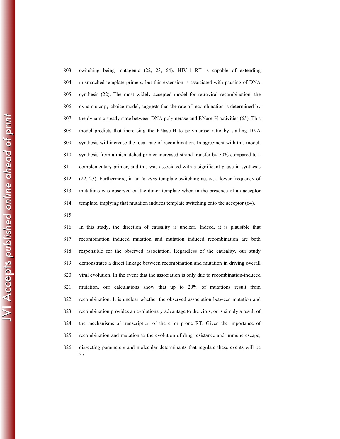803 switching being mutagenic (22, 23, 64). HIV-1 RT is capable of extending 804 mismatched template primers, but this extension is associated with pausing of DNA 805 synthesis (22). The most widely accepted model for retroviral recombination, the 806 dynamic copy choice model, suggests that the rate of recombination is determined by 807 the dynamic steady state between DNA polymerase and RNase-H activities (65). This 808 model predicts that increasing the RNase-H to polymerase ratio by stalling DNA 809 synthesis will increase the local rate of recombination. In agreement with this model, 810 synthesis from a mismatched primer increased strand transfer by 50% compared to a 811 complementary primer, and this was associated with a significant pause in synthesis 812 (22, 23). Furthermore, in an *in vitro* template-switching assay, a lower frequency of 813 mutations was observed on the donor template when in the presence of an acceptor 814 template, implying that mutation induces template switching onto the acceptor (64).

815

37 816 In this study, the direction of causality is unclear. Indeed, it is plausible that 817 recombination induced mutation and mutation induced recombination are both 818 responsible for the observed association. Regardless of the causality, our study 819 demonstrates a direct linkage between recombination and mutation in driving overall 820 viral evolution. In the event that the association is only due to recombination-induced 821 mutation, our calculations show that up to 20% of mutations result from 822 recombination. It is unclear whether the observed association between mutation and 823 recombination provides an evolutionary advantage to the virus, or is simply a result of 824 the mechanisms of transcription of the error prone RT. Given the importance of 825 recombination and mutation to the evolution of drug resistance and immune escape, 826 dissecting parameters and molecular determinants that regulate these events will be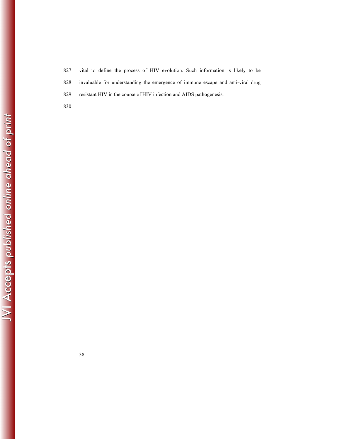827 vital to define the process of HIV evolution. Such information is likely to be 828 invaluable for understanding the emergence of immune escape and anti-viral drug 829 resistant HIV in the course of HIV infection and AIDS pathogenesis.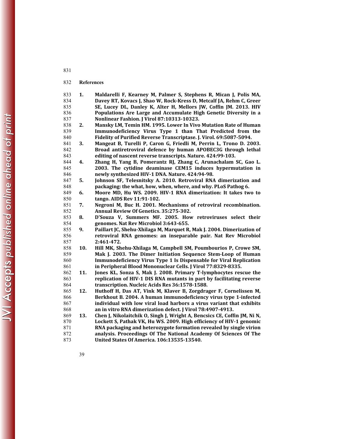# **References**

| 833 | 1.  | Maldarelli F, Kearney M, Palmer S, Stephens R, Mican J, Polis MA,        |
|-----|-----|--------------------------------------------------------------------------|
| 834 |     | Davey RT, Kovacs J, Shao W, Rock-Kress D, Metcalf JA, Rehm C, Greer      |
| 835 |     | SE, Lucey DL, Danley K, Alter H, Mellors JW, Coffin JM. 2013. HIV        |
| 836 |     | Populations Are Large and Accumulate High Genetic Diversity in a         |
| 837 |     | Nonlinear Fashion. J Virol 87:10313-10323.                               |
| 838 | 2.  | Mansky LM, Temin HM. 1995. Lower In Vivo Mutation Rate of Human          |
| 839 |     | Immunodeficiency Virus Type 1 than That Predicted from the               |
| 840 |     | Fidelity of Purified Reverse Transcriptase. J. Virol. 69:5087-5094.      |
| 841 | 3.  | Mangeat B, Turelli P, Caron G, Friedli M, Perrin L, Trono D. 2003.       |
| 842 |     | Broad antiretroviral defence by human APOBEC3G through lethal            |
| 843 |     | editing of nascent reverse transcripts. Nature. 424:99-103.              |
| 844 | 4.  | Zhang H, Yang B, Pomerantz RJ, Zhang C, Arunachalam SC, Gao L.           |
| 845 |     | 2003. The cytidine deaminase CEM15 induces hypermutation in              |
| 846 |     | newly synthesized HIV-1 DNA. Nature. 424:94-98.                          |
| 847 | 5.  | Johnson SF, Telesnitsky A. 2010. Retroviral RNA dimerization and         |
| 848 |     | packaging: the what, how, when, where, and why. PLoS Pathog 6.           |
| 849 | 6.  | Moore MD, Hu WS. 2009. HIV-1 RNA dimerization: It takes two to           |
| 850 |     | tango. AIDS Rev 11:91-102.                                               |
| 851 | 7.  | Negroni M, Buc H. 2001. Mechanisms of retroviral recombination.          |
| 852 |     | Annual Review Of Genetics. 35:275-302.                                   |
| 853 | 8.  | D'Souza V, Summers MF. 2005. How retroviruses select their               |
| 854 |     | genomes. Nat Rev Microbiol 3:643-655.                                    |
| 855 | 9.  | Paillart JC, Shehu-Xhilaga M, Marquet R, Mak J. 2004. Dimerization of    |
| 856 |     | retroviral RNA genomes: an inseparable pair. Nat Rev Microbiol           |
| 857 |     | 2:461-472.                                                               |
| 858 | 10. | Hill MK, Shehu-Xhilaga M, Campbell SM, Poumbourios P, Crowe SM,          |
| 859 |     | Mak J. 2003. The Dimer Initiation Sequence Stem-Loop of Human            |
| 860 |     | Immunodeficiency Virus Type 1 Is Dispensable for Viral Replication       |
| 861 |     | in Peripheral Blood Mononuclear Cells. J Virol 77:8329-8335.             |
| 862 | 11. | Jones KL, Sonza S, Mak J. 2008. Primary T-lymphocytes rescue the         |
| 863 |     | replication of HIV-1 DIS RNA mutants in part by facilitating reverse     |
| 864 |     | transcription. Nucleic Acids Res 36:1578-1588.                           |
| 865 | 12. | Huthoff H, Das AT, Vink M, Klaver B, Zorgdrager F, Cornelissen M,        |
| 866 |     | Berkhout B. 2004. A human immunodeficiency virus type 1-infected         |
| 867 |     | individual with low viral load harbors a virus variant that exhibits     |
| 868 |     | an in vitro RNA dimerization defect. J Virol 78:4907-4913.               |
| 869 | 13. | Chen J, Nikolaitchik O, Singh J, Wright A, Bencsics CE, Coffin JM, Ni N, |
| 870 |     | Lockett S, Pathak VK, Hu WS. 2009. High efficiency of HIV-1 genomic      |
| 871 |     | RNA packaging and heterozygote formation revealed by single virion       |
| 872 |     | analysis. Proceedings Of The National Academy Of Sciences Of The         |
| 873 |     | <b>United States Of America. 106:13535-13540.</b>                        |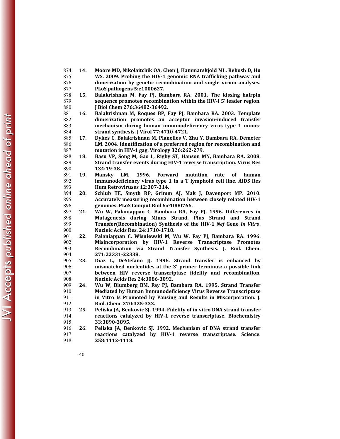- **14. Moore MD, Nikolaitchik OA, Chen J, Hammarskjold ML, Rekosh D, Hu WS. 2009. Probing the HIV-1 genomic RNA trafficking pathway and dimerization by genetic recombination and single virion analyses. PLoS pathogens 5:e1000627.**
- **15. Balakrishnan M, Fay PJ, Bambara RA. 2001. The kissing hairpin sequence promotes recombination within the HIV-I 5' leader region. J Biol Chem 276:36482-36492.**
- **16. Balakrishnan M, Roques BP, Fay PJ, Bambara RA. 2003. Template dimerization promotes an acceptor invasion-induced transfer mechanism during human immunodeficiency virus type 1 minus-strand synthesis. J Virol 77:4710-4721.**
- **17. Dykes C, Balakrishnan M, Planelles V, Zhu Y, Bambara RA, Demeter LM. 2004. Identification of a preferred region for recombination and mutation in HIV-1 gag. Virology 326:262-279.**
- **18. Basu VP, Song M, Gao L, Rigby ST, Hanson MN, Bambara RA. 2008. Strand transfer events during HIV-1 reverse transcription. Virus Res 134:19-38.**
- **19. Mansky LM. 1996. Forward mutation rate of human immunodeficiency virus type 1 in a T lymphoid cell line. AIDS Res Hum Retroviruses 12:307-314.**
- **20. Schlub TE, Smyth RP, Grimm AJ, Mak J, Davenport MP. 2010. Accurately measuring recombination between closely related HIV-1 genomes. PLoS Comput Biol 6:e1000766.**
- **21. Wu W, Palaniappan C, Bambara RA, Fay PJ. 1996. Differences in Mutagenesis during Minus Strand, Plus Strand and Strand Transfer(Recombination) Synthesis of the HIV-1** *Nef* **Gene** *In Vitro***. Nucleic Acids Res. 24:1710-1718.**
- **22. Palaniappan C, Wisniewski M, Wu W, Fay PJ, Bambara RA. 1996. Misincorporation by HIV-1 Reverse Transcriptase Promotes Recombination via Strand Transfer Synthesis. J. Biol. Chem. 271:22331-22338.**
- **23. Diaz L, DeStefano JJ. 1996. Strand transfer is enhanced by mismatched nucleotides at the 3' primer terminus: a possible link between HIV reverse transcriptase fidelity and recombination. Nucleic Acids Res 24:3086-3092.**
- **24. Wu W, Blumberg BM, Fay PJ, Bambara RA. 1995. Strand Transfer Mediated by Human Immunodeficiency Virus Reverse Transcriptase in Vitro Is Promoted by Pausing and Results in Miscorporation. J. Biol. Chem. 270:325-332.**
- **25. Peliska JA, Benkovic SJ. 1994. Fidelity of in vitro DNA strand transfer reactions catalyzed by HIV-1 reverse transcriptase. Biochemistry 33:3890-3895.**
- **26. Peliska JA, Benkovic SJ. 1992. Mechanism of DNA strand transfer reactions catalyzed by HIV-1 reverse transcriptase. Science. 258:1112-1118.**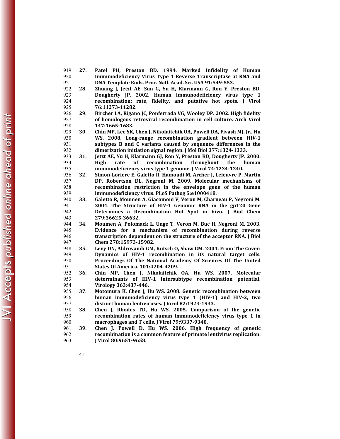- **27. Patel PH, Preston BD. 1994. Marked Infidelity of Human Immunodeficiency Virus Type 1 Reverse Transcriptase at RNA and DNA Template Ends. Proc. Natl. Acad. Sci. USA 91:549-553.**
- **28. Zhuang J, Jetzt AE, Sun G, Yu H, Klarmann G, Ron Y, Preston BD, Dougherty JP. 2002. Human immunodeficiency virus type 1 recombination: rate, fidelity, and putative hot spots. J Virol 76:11273-11282.**
- **29. Bircher LA, Rigano JC, Ponferrada VG, Wooley DP. 2002. High fidelity of homologous retroviral recombination in cell culture. Arch Virol 147:1665-1683.**
- **30. Chin MP, Lee SK, Chen J, Nikolaitchik OA, Powell DA, Fivash MJ, Jr., Hu WS. 2008. Long-range recombination gradient between HIV-1 subtypes B and C variants caused by sequence differences in the dimerization initiation signal region. J Mol Biol 377:1324-1333.**

**31. Jetzt AE, Yu H, Klarmann GJ, Ron Y, Preston BD, Dougherty JP. 2000. High rate of recombination throughout the human immunodeficiency virus type 1 genome. J Virol 74:1234-1240.** 

**32. Simon-Loriere E, Galetto R, Hamoudi M, Archer J, Lefeuvre P, Martin DP, Robertson DL, Negroni M. 2009. Molecular mechanisms of recombination restriction in the envelope gene of the human immunodeficiency virus. PLoS Pathog 5:e1000418.** 

**33. Galetto R, Moumen A, Giacomoni V, Veron M, Charneau P, Negroni M. 2004. The Structure of HIV-1 Genomic RNA in the gp120 Gene Determines a Recombination Hot Spot in Vivo. J Biol Chem 279:36625-36632.** 

**34. Moumen A, Polomack L, Unge T, Veron M, Buc H, Negroni M. 2003. Evidence for a mechanism of recombination during reverse transcription dependent on the structure of the acceptor RNA. J Biol Chem 278:15973-15982.** 

**35. Levy DN, Aldrovandi GM, Kutsch O, Shaw GM. 2004. From The Cover: Dynamics of HIV-1 recombination in its natural target cells. Proceedings Of The National Academy Of Sciences Of The United States Of America. 101:4204-4209.** 

- **36. Chin MP, Chen J, Nikolaitchik OA, Hu WS. 2007. Molecular determinants of HIV-1 intersubtype recombination potential. Virology 363:437-446.**
- **37. Motomura K, Chen J, Hu WS. 2008. Genetic recombination between human immunodeficiency virus type 1 (HIV-1) and HIV-2, two distinct human lentiviruses. J Virol 82:1923-1933.**
- **38. Chen J, Rhodes TD, Hu WS. 2005. Comparison of the genetic recombination rates of human immunodeficiency virus type 1 in macrophages and T cells. J Virol 79:9337-9340.**
- **39. Chen J, Powell D, Hu WS. 2006. High frequency of genetic recombination is a common feature of primate lentivirus replication. J Virol 80:9651-9658.**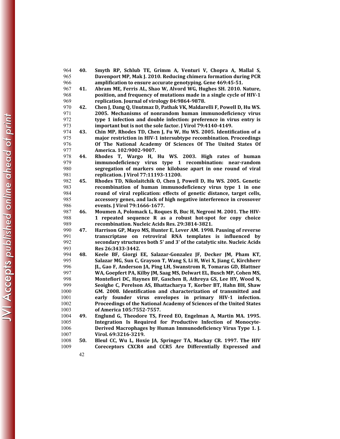- **40. Smyth RP, Schlub TE, Grimm A, Venturi V, Chopra A, Mallal S, Davenport MP, Mak J. 2010. Reducing chimera formation during PCR amplification to ensure accurate genotyping. Gene 469:45-51.**
- **41. Abram ME, Ferris AL, Shao W, Alvord WG, Hughes SH. 2010. Nature, position, and frequency of mutations made in a single cycle of HIV-1 replication. Journal of virology 84:9864-9878.**
- **42. Chen J, Dang Q, Unutmaz D, Pathak VK, Maldarelli F, Powell D, Hu WS. 2005. Mechanisms of nonrandom human immunodeficiency virus type 1 infection and double infection: preference in virus entry is important but is not the sole factor. J Virol 79:4140-4149.**
- **43. Chin MP, Rhodes TD, Chen J, Fu W, Hu WS. 2005. Identification of a major restriction in HIV-1 intersubtype recombination. Proceedings Of The National Academy Of Sciences Of The United States Of America. 102:9002-9007.**
- **44. Rhodes T, Wargo H, Hu WS. 2003. High rates of human immunodeficiency virus type 1 recombination: near-random segregation of markers one kilobase apart in one round of viral replication. J Virol 77:11193-11200.**
- **45. Rhodes TD, Nikolaitchik O, Chen J, Powell D, Hu WS. 2005. Genetic recombination of human immunodeficiency virus type 1 in one round of viral replication: effects of genetic distance, target cells, accessory genes, and lack of high negative interference in crossover events. J Virol 79:1666-1677.**
- **46. Moumen A, Polomack L, Roques B, Buc H, Negroni M. 2001. The HIV-1 repeated sequence R as a robust hot-spot for copy choice recombination. Nucleic Acids Res. 29:3814-3821.**
- **47. Harrison GP, Mayo MS, Hunter E, Lever AM. 1998. Pausing of reverse transcriptase on retroviral RNA templates is influenced by secondary structures both 5' and 3' of the catalytic site. Nucleic Acids Res 26:3433-3442.**
- **48. Keele BF, Giorgi EE, Salazar-Gonzalez JF, Decker JM, Pham KT, Salazar MG, Sun C, Grayson T, Wang S, Li H, Wei X, Jiang C, Kirchherr JL, Gao F, Anderson JA, Ping LH, Swanstrom R, Tomaras GD, Blattner WA, Goepfert PA, Kilby JM, Saag MS, Delwart EL, Busch MP, Cohen MS, Montefiori DC, Haynes BF, Gaschen B, Athreya GS, Lee HY, Wood N, Seoighe C, Perelson AS, Bhattacharya T, Korber BT, Hahn BH, Shaw GM. 2008. Identification and characterization of transmitted and early founder virus envelopes in primary HIV-1 infection. Proceedings of the National Academy of Sciences of the United States of America 105:7552-7557.**
- **49. Englund G, Theodore TS, Freed EO, Engelman A, Martin MA. 1995. Integration Is Required for Productive Infection of Monocyte-Derived Macrophages by Human Immunodeficiency Virus Type 1. J. Virol. 69:3216-3219.**
- **50. Bleul CC, Wu L, Hoxie JA, Springer TA, Mackay CR. 1997. The HIV Coreceptors CXCR4 and CCR5 Are Differentially Expressed and** 
	-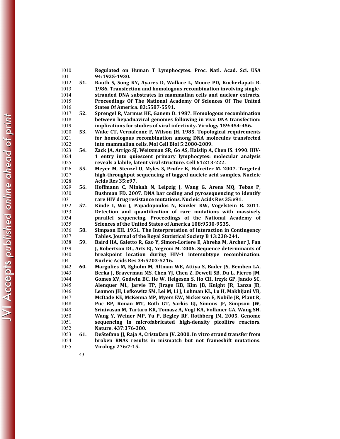| 1010         |     | Regulated on Human T Lymphocytes. Proc. Natl. Acad. Sci. USA                                                                        |
|--------------|-----|-------------------------------------------------------------------------------------------------------------------------------------|
| 1011         |     | 94:1925-1930.                                                                                                                       |
| 1012         | 51. | Rauth S, Song KY, Ayares D, Wallace L, Moore PD, Kucherlapati R.                                                                    |
| 1013         |     | 1986. Transfection and homologous recombination involving single-                                                                   |
| 1014         |     | stranded DNA substrates in mammalian cells and nuclear extracts.                                                                    |
| 1015         |     | Proceedings Of The National Academy Of Sciences Of The United                                                                       |
| 1016         |     | States Of America. 83:5587-5591.                                                                                                    |
| 1017         | 52. | Sprengel R, Varmus HE, Ganem D. 1987. Homologous recombination                                                                      |
| 1018         |     | between hepadnaviral genomes following in vivo DNA transfection:                                                                    |
| 1019         |     | implications for studies of viral infectivity. Virology 159:454-456.                                                                |
| 1020         | 53. | Wake CT, Vernaleone F, Wilson JH. 1985. Topological requirements                                                                    |
| 1021         |     | for homologous recombination among DNA molecules transfected                                                                        |
| 1022         |     | into mammalian cells. Mol Cell Biol 5:2080-2089.                                                                                    |
| 1023         | 54. | Zack JA, Arrigo SJ, Weitsman SR, Go AS, Haislip A, Chen IS. 1990. HIV-                                                              |
| 1024         |     | 1 entry into quiescent primary lymphocytes: molecular analysis                                                                      |
| 1025         |     | reveals a labile, latent viral structure. Cell 61:213-222.                                                                          |
| 1026         | 55. | Meyer M, Stenzel U, Myles S, Prufer K, Hofreiter M. 2007. Targeted                                                                  |
| 1027         |     | high-throughput sequencing of tagged nucleic acid samples. Nucleic                                                                  |
| 1028         |     | Acids Res 35:e97.                                                                                                                   |
| 1029         | 56. | Hoffmann C, Minkah N, Leipzig J, Wang G, Arens MQ, Tebas P,                                                                         |
| 1030         |     | Bushman FD. 2007. DNA bar coding and pyrosequencing to identify                                                                     |
| 1031         |     | rare HIV drug resistance mutations. Nucleic Acids Res 35:e91.                                                                       |
| 1032         | 57. | Kinde I, Wu J, Papadopoulos N, Kinzler KW, Vogelstein B. 2011.                                                                      |
| 1033         |     | Detection and quantification of rare mutations with massively                                                                       |
| 1034         |     | parallel sequencing. Proceedings of the National Academy<br><b>of</b>                                                               |
| 1035         |     | Sciences of the United States of America 108:9530-9535.                                                                             |
| 1036         | 58. | Simpson EH. 1951. The Interpretation of Interaction in Contingency                                                                  |
| 1037         |     | Tables. Journal of the Royal Statistical Society B 13:238-241.                                                                      |
| 1038         | 59. | Baird HA, Galetto R, Gao Y, Simon-Loriere E, Abreha M, Archer J, Fan                                                                |
| 1039         |     | J, Robertson DL, Arts EJ, Negroni M. 2006. Sequence determinants of<br>breakpoint location during HIV-1 intersubtype recombination. |
| 1040         |     | Nucleic Acids Res 34:5203-5216.                                                                                                     |
| 1041<br>1042 | 60. | Margulies M, Egholm M, Altman WE, Attiya S, Bader JS, Bemben LA,                                                                    |
| 1043         |     | Berka J, Braverman MS, Chen YJ, Chen Z, Dewell SB, Du L, Fierro JM,                                                                 |
| 1044         |     | Gomes XV, Godwin BC, He W, Helgesen S, Ho CH, Irzyk GP, Jando SC,                                                                   |
| 1045         |     | Alenquer ML, Jarvie TP, Jirage KB, Kim JB, Knight JR, Lanza JR,                                                                     |
| 1046         |     | Leamon JH, Lefkowitz SM, Lei M, Li J, Lohman KL, Lu H, Makhijani VB,                                                                |
| 1047         |     | McDade KE, McKenna MP, Myers EW, Nickerson E, Nobile JR, Plant R,                                                                   |
| 1048         |     | Puc BP, Ronan MT, Roth GT, Sarkis GJ, Simons JF, Simpson JW,                                                                        |
| 1049         |     | Srinivasan M, Tartaro KR, Tomasz A, Vogt KA, Volkmer GA, Wang SH,                                                                   |
| 1050         |     | Wang Y, Weiner MP, Yu P, Begley RF, Rothberg JM. 2005. Genome                                                                       |
| 1051         |     | sequencing in microfabricated high-density picolitre reactors.                                                                      |
| 1052         |     | Nature. 437:376-380.                                                                                                                |
| 1053         | 61. | DeStefano JJ, Raja A, Cristofaro JV. 2000. In vitro strand transfer from                                                            |
| 1054         |     | broken RNAs results in mismatch but not frameshift mutations.                                                                       |
| 1055         |     | Virology 276:7-15.                                                                                                                  |
|              | 43  |                                                                                                                                     |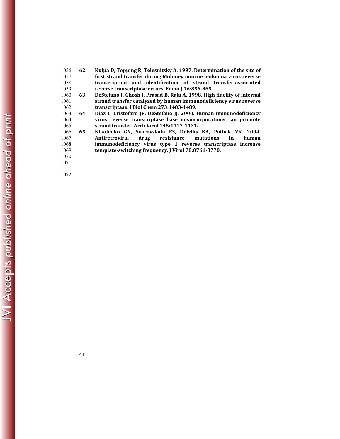| 1056 | 62. | Kulpa D, Topping R, Telesnitsky A. 1997. Determination of the site of   |
|------|-----|-------------------------------------------------------------------------|
| 1057 |     | first strand transfer during Moloney murine leukemia virus reverse      |
| 1058 |     | transcription and identification of strand transfer-associated          |
| 1059 |     | reverse transcriptase errors. Embo J 16:856-865.                        |
| 1060 | 63. | DeStefano J, Ghosh J, Prasad B, Raja A. 1998. High fidelity of internal |
| 1061 |     | strand transfer catalyzed by human immunodeficiency virus reverse       |
| 1062 |     | transcriptase. J Biol Chem 273:1483-1489.                               |
| 1063 | 64. | Diaz L. Cristofaro IV, DeStefano II. 2000. Human immunodeficiency       |
| 1064 |     | virus reverse transcriptase base misincorporations can promote          |
| 1065 |     | strand transfer. Arch Virol 145:1117-1131.                              |
| 1066 | 65. | Nikolenko GN, Svarovskaia ES, Delviks KA, Pathak VK. 2004.              |
| 1067 |     | drug resistance<br>Antiretroviral<br>mutations<br>human<br><i>in</i>    |
| 1068 |     | immunodeficiency virus type 1 reverse transcriptase increase            |
| 1069 |     | template-switching frequency. I Virol 78:8761-8770.                     |
| 1070 |     |                                                                         |
| 1071 |     |                                                                         |
|      |     |                                                                         |
|      |     |                                                                         |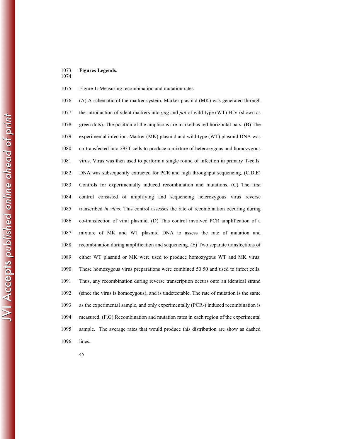## 1073 **Figures Legends:**

1074

## 1075 Figure 1: Measuring recombination and mutation rates

1076 (A) A schematic of the marker system. Marker plasmid (MK) was generated through 1077 the introduction of silent markers into *gag* and *pol* of wild-type (WT) HIV (shown as 1078 green dots). The position of the amplicons are marked as red horizontal bars. (B) The 1079 experimental infection. Marker (MK) plasmid and wild-type (WT) plasmid DNA was 1080 co-transfected into 293T cells to produce a mixture of heterozygous and homozygous 1081 virus. Virus was then used to perform a single round of infection in primary T-cells. 1082 DNA was subsequently extracted for PCR and high throughput sequencing. (C,D,E) 1083 Controls for experimentally induced recombination and mutations. (C) The first 1084 control consisted of amplifying and sequencing heterozygous virus reverse 1085 transcribed *in vitro*. This control assesses the rate of recombination occuring during 1086 co-transfection of viral plasmid. (D) This control involved PCR amplification of a 1087 mixture of MK and WT plasmid DNA to assess the rate of mutation and 1088 recombination during amplification and sequencing. (E) Two separate transfections of 1089 either WT plasmid or MK were used to produce homozygous WT and MK virus. 1090 These homozygous virus preparations were combined 50:50 and used to infect cells. 1091 Thus, any recombination during reverse transcription occurs onto an identical strand 1092 (since the virus is homozygous), and is undetectable. The rate of mutation is the same 1093 as the experimental sample, and only experimentally (PCR-) induced recombination is 1094 measured. (F,G) Recombination and mutation rates in each region of the experimental 1095 sample. The average rates that would produce this distribution are show as dashed 1096 lines.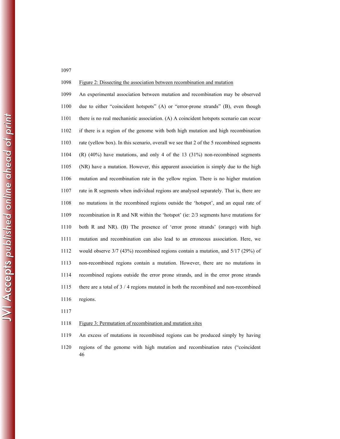1098 Figure 2: Dissecting the association between recombination and mutation

1099 An experimental association between mutation and recombination may be observed 1100 due to either "coincident hotspots" (A) or "error-prone strands" (B), even though 1101 there is no real mechanistic association. (A) A coincident hotspots scenario can occur 1102 if there is a region of the genome with both high mutation and high recombination 1103 rate (yellow box). In this scenario, overall we see that 2 of the 5 recombined segments 1104 (R) (40%) have mutations, and only 4 of the 13 (31%) non-recombined segments 1105 (NR) have a mutation. However, this apparent association is simply due to the high 1106 mutation and recombination rate in the yellow region. There is no higher mutation 1107 rate in R segments when individual regions are analysed separately. That is, there are 1108 no mutations in the recombined regions outside the 'hotspot', and an equal rate of 1109 recombination in R and NR within the 'hotspot' (ie: 2/3 segments have mutations for 1110 both R and NR). (B) The presence of 'error prone strands' (orange) with high 1111 mutation and recombination can also lead to an erroneous association. Here, we 1112 would observe 3/7 (43%) recombined regions contain a mutation, and 5/17 (29%) of 1113 non-recombined regions contain a mutation. However, there are no mutations in 1114 recombined regions outside the error prone strands, and in the error prone strands 1115 there are a total of 3 / 4 regions mutated in both the recombined and non-recombined 1116 regions.

1117

#### 1118 Figure 3: Permutation of recombination and mutation sites

- 1119 An excess of mutations in recombined regions can be produced simply by having
- 46 1120 regions of the genome with high mutation and recombination rates ("coincident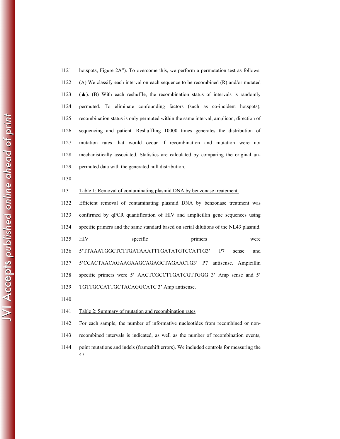1121 hotspots, Figure 2A"). To overcome this, we perform a permutation test as follows. 1122 (A) We classify each interval on each sequence to be recombined (R) and/or mutated 1123  $(A)$ . (B) With each reshuffle, the recombination status of intervals is randomly 1124 permuted. To eliminate confounding factors (such as co-incident hotspots), 1125 recombination status is only permuted within the same interval, amplicon, direction of 1126 sequencing and patient. Reshuffling 10000 times generates the distribution of 1127 mutation rates that would occur if recombination and mutation were not 1128 mechanistically associated. Statistics are calculated by comparing the original un-1129 permuted data with the generated null distribution.

1130

#### 1131 Table 1: Removal of contaminating plasmid DNA by benzonase treatement.

1132 Efficient removal of contaminating plasmid DNA by benzonase treatment was 1133 confirmed by qPCR quantification of HIV and amplicillin gene sequences using 1134 specific primers and the same standard based on serial dilutions of the NL43 plasmid. 1135 HIV specific primers were 1136 5'TTAAATGGCTCTTGATAAATTTGATATGTCCATTG3' P7 sense and 1137 5'CCACTAACAGAAGAAGCAGAGCTAGAACTG3' P7 antisense. Ampicillin 1138 specific primers were 5' AACTCGCCTTGATCGTTGGG 3' Amp sense and 5' 1139 TGTTGCCATTGCTACAGGCATC 3' Amp antisense.

1140

#### 1141 Table 2: Summary of mutation and recombination rates

1142 For each sample, the number of informative nucleotides from recombined or non-

- 1143 recombined intervals is indicated, as well as the number of recombination events,
- 47 1144 point mutations and indels (frameshift errors). We included controls for measuring the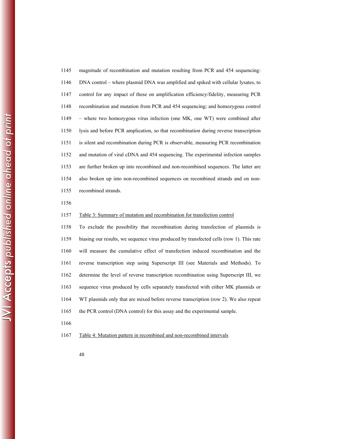| 1145 | magnitude of recombination and mutation resulting from PCR and 454 sequencing:       |
|------|--------------------------------------------------------------------------------------|
| 1146 | DNA control – where plasmid DNA was amplified and spiked with cellular lysates, to   |
| 1147 | control for any impact of these on amplification efficiency/fidelity, measuring PCR  |
| 1148 | recombination and mutation from PCR and 454 sequencing; and homozygous control       |
| 1149 | - where two homozygous virus infection (one MK, one WT) were combined after          |
| 1150 | lysis and before PCR amplication, so that recombination during reverse transcription |
| 1151 | is silent and recombination during PCR is observable, measuring PCR recombination    |
| 1152 | and mutation of viral cDNA and 454 sequencing. The experimental infection samples    |
| 1153 | are further broken up into recombined and non-recombined sequences. The latter are   |
| 1154 | also broken up into non-recombined sequences on recombined strands and on non-       |
| 1155 | recombined strands.                                                                  |

1156

#### 1157 Table 3: Summary of mutation and recombination for transfection control

1158 To exclude the possibility that recombination during transfection of plasmids is 1159 biasing our results, we sequence virus produced by transfected cells (row 1). This rate 1160 will measure the cumulative effect of transfection induced recombination and the 1161 reverse transcription step using Superscript III (see Materials and Methods). To 1162 determine the level of reverse transcription recombination using Superscript III, we 1163 sequence virus produced by cells separately transfected with either MK plasmids or 1164 WT plasmids only that are mixed before reverse transcription (row 2). We also repeat 1165 the PCR control (DNA control) for this assay and the experimental sample.

1166

## 1167 Table 4: Mutation pattern in recombined and non-recombined intervals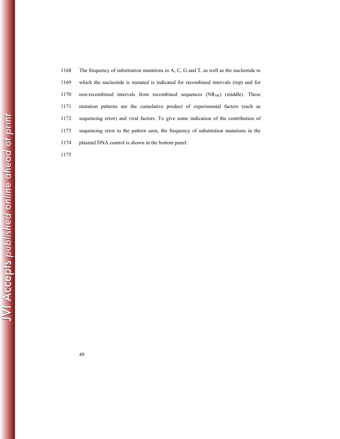1168 The frequency of substitution mutations in A, C, G and T, as well as the nucleotide to 1169 which the nucleotide is mutated is indicated for recombined intervals (top) and for 1170 non-recombined intervals from recombined sequences  $(NR_{NR})$  (middle). These 1171 mutation patterns are the cumulative product of experimental factors (such as 1172 sequencing error) and viral factors. To give some indication of the contribution of 1173 sequencing error to the pattern seen, the frequency of substitution mutations in the 1174 plasmid DNA control is shown in the bottom panel.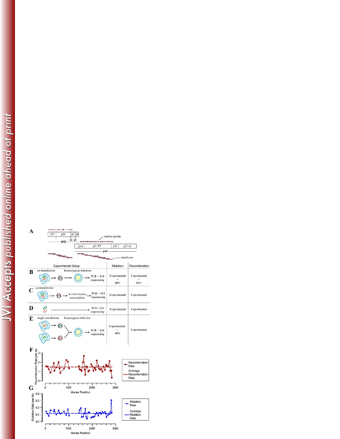marger as stay

 $p24$  $p7$   $p6$ 

 $p17$ 

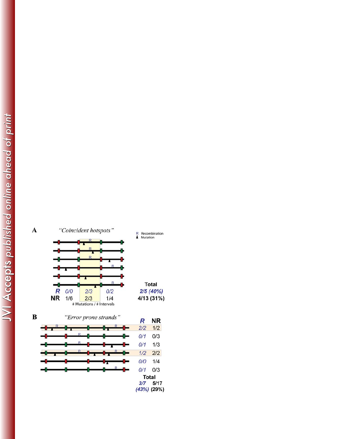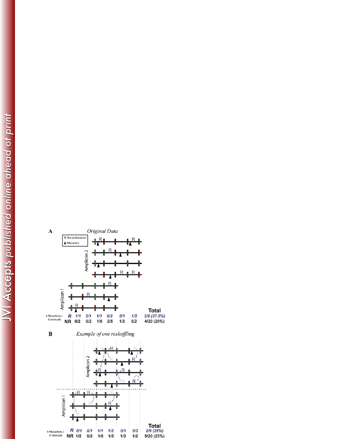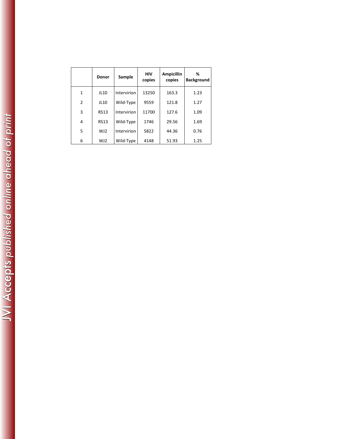|                | <b>Donor</b> | Sample      | <b>HIV</b><br>copies | <b>Ampicillin</b><br>copies | %<br><b>Background</b> |
|----------------|--------------|-------------|----------------------|-----------------------------|------------------------|
| 1              | JL10         | Intervirion | 13250                | 163.3                       | 1.23                   |
| $\overline{2}$ | JL10         | Wild-Type   | 9559                 | 121.8                       | 1.27                   |
| 3              | <b>RS13</b>  | Intervirion | 11700                | 127.6                       | 1.09                   |
| 4              | <b>RS13</b>  | Wild-Type   | 1746                 | 29.56                       | 1.69                   |
| 5              | WJ2          | Intervirion | 5822                 | 44.36                       | 0.76                   |
| 6              | WJ2          | Wild-Type   | 4148                 | 51.93                       | 1.25                   |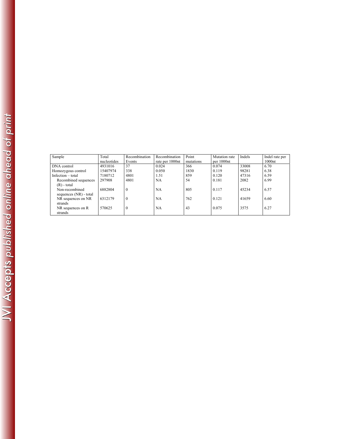| Sample                 | Total       | Recombination | Recombination   | Point     | Mutation rate | Indels | Indel rate per |
|------------------------|-------------|---------------|-----------------|-----------|---------------|--------|----------------|
|                        | nucleotides | Events        | rate per 1000nt | mutations | per 1000nt    |        | 1000nt         |
| DNA control            | 4931016     | 37            | 0.024           | 366       | 0.074         | 33008  | 6.70           |
| Homozygous control     | 15407974    | 338           | 0.050           | 1830      | 0.119         | 98281  | 6.38           |
| Infection - total      | 7180712     | 4801          | 1.51            | 859       | 0.120         | 47316  | 6.59           |
| Recombined sequences   | 297908      | 4801          | <b>NA</b>       | 54        | 0.181         | 2082   | 6.99           |
| $(R)$ - total          |             |               |                 |           |               |        |                |
| Non-recombined         | 6882804     | $\Omega$      | <b>NA</b>       | 805       | 0.117         | 45234  | 6.57           |
| sequences (NR) - total |             |               |                 |           |               |        |                |
| NR sequences on NR     | 6312179     | $\Omega$      | <b>NA</b>       | 762       | 0.121         | 41659  | 6.60           |
| strands                |             |               |                 |           |               |        |                |
| NR sequences on R      | 570625      | $\Omega$      | <b>NA</b>       | 43        | 0.075         | 3575   | 6.27           |
| strands                |             |               |                 |           |               |        |                |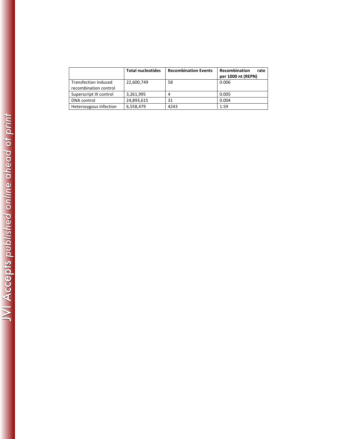|                                               | <b>Total nucleotides</b> | <b>Recombination Events</b> | Recombination<br>rate<br>per 1000 nt (REPN) |
|-----------------------------------------------|--------------------------|-----------------------------|---------------------------------------------|
| Transfection induced<br>recombination control | 22,600,749               | 58                          | 0.006                                       |
| Superscript III control                       | 3,261,995                | 4                           | 0.005                                       |
| <b>DNA</b> control                            | 24,893,615               | 31                          | 0.004                                       |
| Heterozygous Infection                        | 6,558,479                | 4243                        | 1.59                                        |